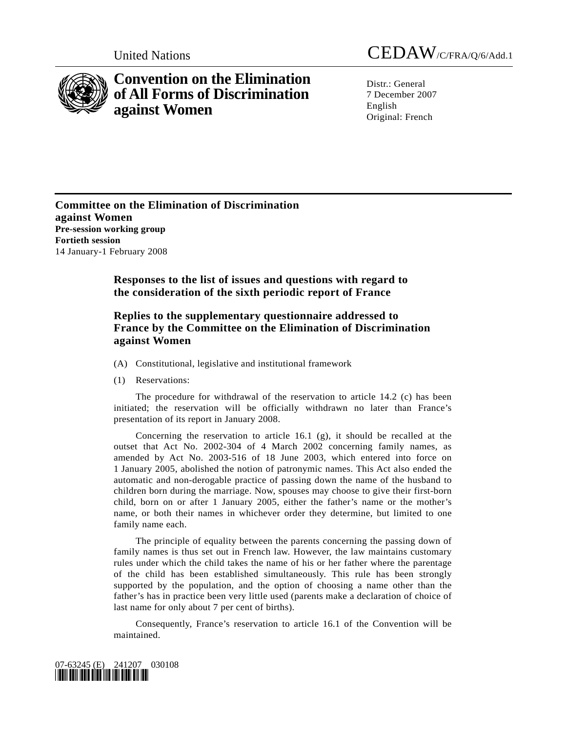

# **Convention on the Elimination of All Forms of Discrimination against Women**

United Nations CEDAW/C/FRA/Q/6/Add.1

Distr · General 7 December 2007 English Original: French

**Committee on the Elimination of Discrimination against Women Pre-session working group Fortieth session**  14 January-1 February 2008

> **Responses to the list of issues and questions with regard to the consideration of the sixth periodic report of France**

# **Replies to the supplementary questionnaire addressed to France by the Committee on the Elimination of Discrimination against Women**

- (A) Constitutional, legislative and institutional framework
- (1) Reservations:

 The procedure for withdrawal of the reservation to article 14.2 (c) has been initiated; the reservation will be officially withdrawn no later than France's presentation of its report in January 2008.

 Concerning the reservation to article 16.1 (g), it should be recalled at the outset that Act No. 2002-304 of 4 March 2002 concerning family names, as amended by Act No. 2003-516 of 18 June 2003, which entered into force on 1 January 2005, abolished the notion of patronymic names. This Act also ended the automatic and non-derogable practice of passing down the name of the husband to children born during the marriage. Now, spouses may choose to give their first-born child, born on or after 1 January 2005, either the father's name or the mother's name, or both their names in whichever order they determine, but limited to one family name each.

 The principle of equality between the parents concerning the passing down of family names is thus set out in French law. However, the law maintains customary rules under which the child takes the name of his or her father where the parentage of the child has been established simultaneously. This rule has been strongly supported by the population, and the option of choosing a name other than the father's has in practice been very little used (parents make a declaration of choice of last name for only about 7 per cent of births).

 Consequently, France's reservation to article 16.1 of the Convention will be maintained.

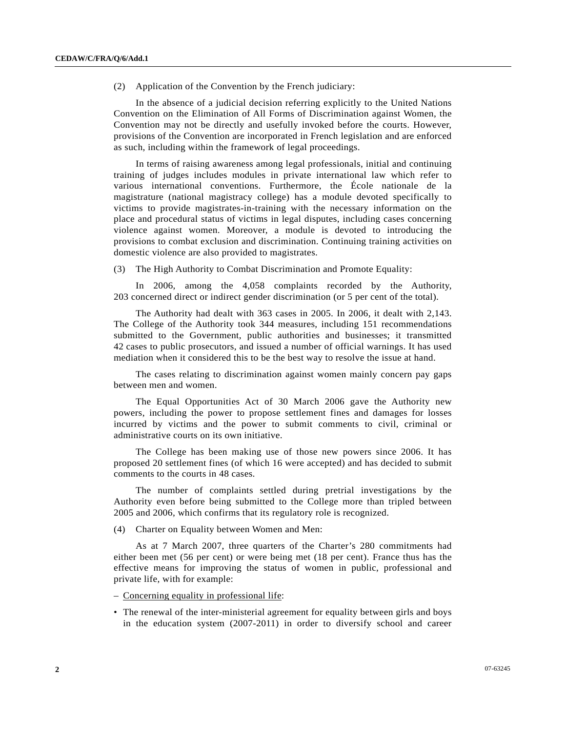(2) Application of the Convention by the French judiciary:

 In the absence of a judicial decision referring explicitly to the United Nations Convention on the Elimination of All Forms of Discrimination against Women, the Convention may not be directly and usefully invoked before the courts. However, provisions of the Convention are incorporated in French legislation and are enforced as such, including within the framework of legal proceedings.

 In terms of raising awareness among legal professionals, initial and continuing training of judges includes modules in private international law which refer to various international conventions. Furthermore, the École nationale de la magistrature (national magistracy college) has a module devoted specifically to victims to provide magistrates-in-training with the necessary information on the place and procedural status of victims in legal disputes, including cases concerning violence against women. Moreover, a module is devoted to introducing the provisions to combat exclusion and discrimination. Continuing training activities on domestic violence are also provided to magistrates.

(3) The High Authority to Combat Discrimination and Promote Equality:

 In 2006, among the 4,058 complaints recorded by the Authority, 203 concerned direct or indirect gender discrimination (or 5 per cent of the total).

 The Authority had dealt with 363 cases in 2005. In 2006, it dealt with 2,143. The College of the Authority took 344 measures, including 151 recommendations submitted to the Government, public authorities and businesses; it transmitted 42 cases to public prosecutors, and issued a number of official warnings. It has used mediation when it considered this to be the best way to resolve the issue at hand.

 The cases relating to discrimination against women mainly concern pay gaps between men and women.

 The Equal Opportunities Act of 30 March 2006 gave the Authority new powers, including the power to propose settlement fines and damages for losses incurred by victims and the power to submit comments to civil, criminal or administrative courts on its own initiative.

 The College has been making use of those new powers since 2006. It has proposed 20 settlement fines (of which 16 were accepted) and has decided to submit comments to the courts in 48 cases.

 The number of complaints settled during pretrial investigations by the Authority even before being submitted to the College more than tripled between 2005 and 2006, which confirms that its regulatory role is recognized.

(4) Charter on Equality between Women and Men:

 As at 7 March 2007, three quarters of the Charter's 280 commitments had either been met (56 per cent) or were being met (18 per cent). France thus has the effective means for improving the status of women in public, professional and private life, with for example:

– Concerning equality in professional life:

• The renewal of the inter-ministerial agreement for equality between girls and boys in the education system (2007-2011) in order to diversify school and career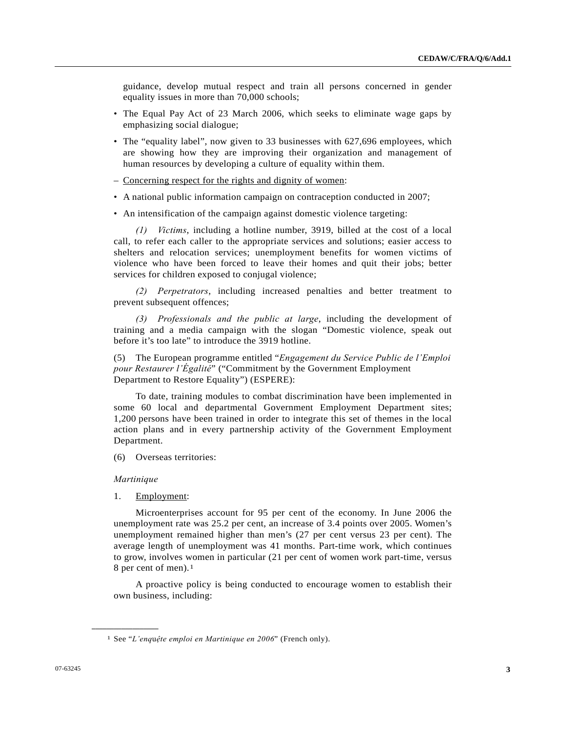guidance, develop mutual respect and train all persons concerned in gender equality issues in more than 70,000 schools;

- The Equal Pay Act of 23 March 2006, which seeks to eliminate wage gaps by emphasizing social dialogue;
- The "equality label", now given to 33 businesses with 627,696 employees, which are showing how they are improving their organization and management of human resources by developing a culture of equality within them.
- Concerning respect for the rights and dignity of women:
- A national public information campaign on contraception conducted in 2007;
- An intensification of the campaign against domestic violence targeting:

 *(1) Victims*, including a hotline number, 3919, billed at the cost of a local call, to refer each caller to the appropriate services and solutions; easier access to shelters and relocation services; unemployment benefits for women victims of violence who have been forced to leave their homes and quit their jobs; better services for children exposed to conjugal violence;

 *(2) Perpetrators*, including increased penalties and better treatment to prevent subsequent offences;

 *(3) Professionals and the public at large*, including the development of training and a media campaign with the slogan "Domestic violence, speak out before it's too late" to introduce the 3919 hotline.

(5) The European programme entitled "*Engagement du Service Public de l'Emploi pour Restaurer l'Égalité*" ("Commitment by the Government Employment Department to Restore Equality") (ESPERE):

 To date, training modules to combat discrimination have been implemented in some 60 local and departmental Government Employment Department sites; 1,200 persons have been trained in order to integrate this set of themes in the local action plans and in every partnership activity of the Government Employment Department.

(6) Overseas territories:

#### *Martinique*

<span id="page-2-0"></span>**\_\_\_\_\_\_\_\_\_\_\_\_\_\_\_\_\_\_** 

1. Employment:

 Microenterprises account for 95 per cent of the economy. In June 2006 the unemployment rate was 25.2 per cent, an increase of 3.4 points over 2005. Women's unemployment remained higher than men's (27 per cent versus 23 per cent). The average length of unemployment was 41 months. Part-time work, which continues to grow, involves women in particular (21 per cent of women work part-time, versus 8 per cent of men).[1](#page-2-0)

 A proactive policy is being conducted to encourage women to establish their own business, including:

<sup>1</sup> See "*L'enq*u*ệte emploi en Martinique en 2006*" (French only).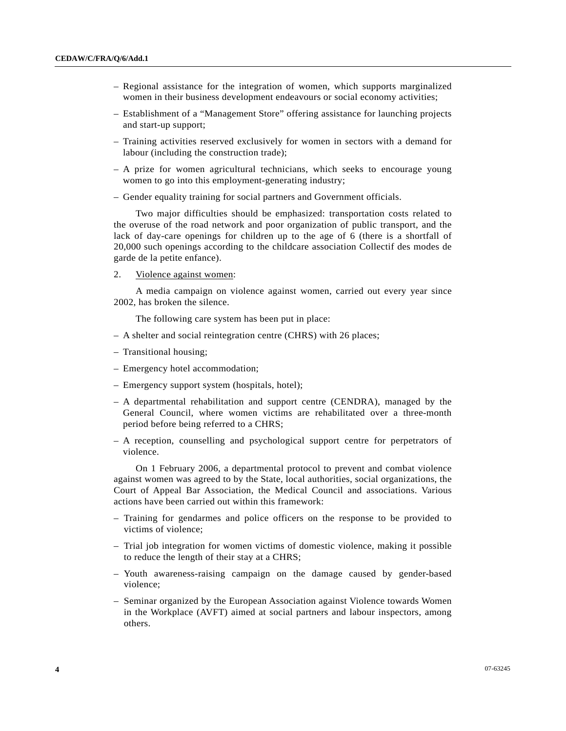- Regional assistance for the integration of women, which supports marginalized women in their business development endeavours or social economy activities;
- Establishment of a "Management Store" offering assistance for launching projects and start-up support;
- Training activities reserved exclusively for women in sectors with a demand for labour (including the construction trade);
- A prize for women agricultural technicians, which seeks to encourage young women to go into this employment-generating industry;
- Gender equality training for social partners and Government officials.

 Two major difficulties should be emphasized: transportation costs related to the overuse of the road network and poor organization of public transport, and the lack of day-care openings for children up to the age of 6 (there is a shortfall of 20,000 such openings according to the childcare association Collectif des modes de garde de la petite enfance).

2. Violence against women:

 A media campaign on violence against women, carried out every year since 2002, has broken the silence.

The following care system has been put in place:

- A shelter and social reintegration centre (CHRS) with 26 places;
- Transitional housing;
- Emergency hotel accommodation;
- Emergency support system (hospitals, hotel);
- A departmental rehabilitation and support centre (CENDRA), managed by the General Council, where women victims are rehabilitated over a three-month period before being referred to a CHRS;
- A reception, counselling and psychological support centre for perpetrators of violence.

 On 1 February 2006, a departmental protocol to prevent and combat violence against women was agreed to by the State, local authorities, social organizations, the Court of Appeal Bar Association, the Medical Council and associations. Various actions have been carried out within this framework:

- Training for gendarmes and police officers on the response to be provided to victims of violence;
- Trial job integration for women victims of domestic violence, making it possible to reduce the length of their stay at a CHRS;
- Youth awareness-raising campaign on the damage caused by gender-based violence;
- Seminar organized by the European Association against Violence towards Women in the Workplace (AVFT) aimed at social partners and labour inspectors, among others.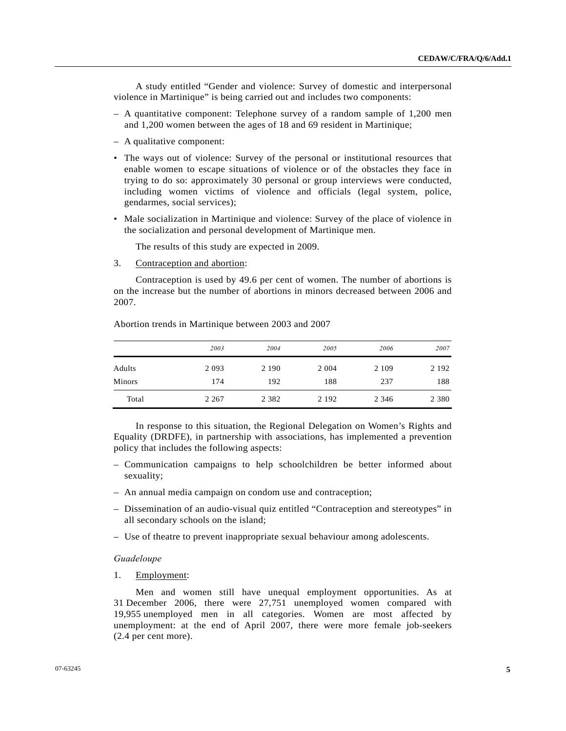A study entitled "Gender and violence: Survey of domestic and interpersonal violence in Martinique" is being carried out and includes two components:

- A quantitative component: Telephone survey of a random sample of 1,200 men and 1,200 women between the ages of 18 and 69 resident in Martinique;
- A qualitative component:
- The ways out of violence: Survey of the personal or institutional resources that enable women to escape situations of violence or of the obstacles they face in trying to do so: approximately 30 personal or group interviews were conducted, including women victims of violence and officials (legal system, police, gendarmes, social services);
- Male socialization in Martinique and violence: Survey of the place of violence in the socialization and personal development of Martinique men.

The results of this study are expected in 2009.

3. Contraception and abortion:

 Contraception is used by 49.6 per cent of women. The number of abortions is on the increase but the number of abortions in minors decreased between 2006 and 2007.

Abortion trends in Martinique between 2003 and 2007

|               | 2003    | 2004    | 2005    | 2006    | 2007    |
|---------------|---------|---------|---------|---------|---------|
| Adults        | 2 0 9 3 | 2 1 9 0 | 2 0 0 4 | 2 1 0 9 | 2 1 9 2 |
| <b>Minors</b> | 174     | 192     | 188     | 237     | 188     |
| Total         | 2 2 6 7 | 2 3 8 2 | 2 1 9 2 | 2 3 4 6 | 2 3 8 0 |

 In response to this situation, the Regional Delegation on Women's Rights and Equality (DRDFE), in partnership with associations, has implemented a prevention policy that includes the following aspects:

- Communication campaigns to help schoolchildren be better informed about sexuality;
- An annual media campaign on condom use and contraception;
- Dissemination of an audio-visual quiz entitled "Contraception and stereotypes" in all secondary schools on the island;
- Use of theatre to prevent inappropriate sexual behaviour among adolescents.

#### *Guadeloupe*

1. Employment:

 Men and women still have unequal employment opportunities. As at 31 December 2006, there were 27,751 unemployed women compared with 19,955 unemployed men in all categories. Women are most affected by unemployment: at the end of April 2007, there were more female job-seekers (2.4 per cent more).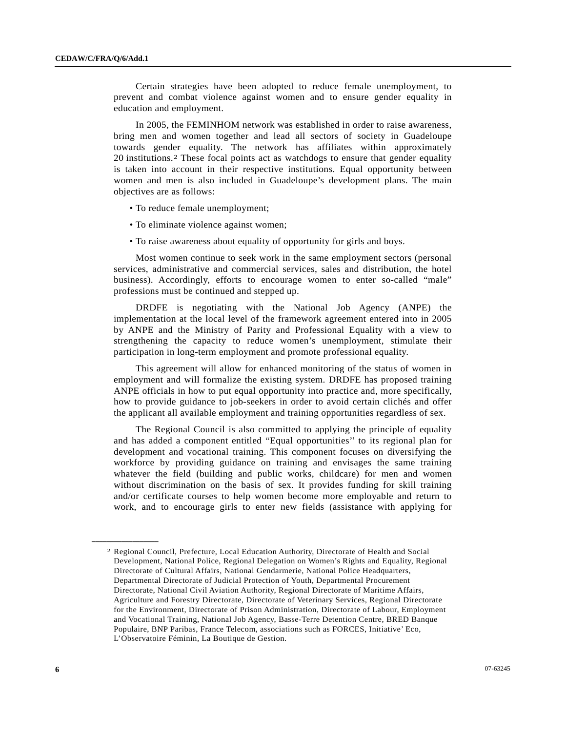Certain strategies have been adopted to reduce female unemployment, to prevent and combat violence against women and to ensure gender equality in education and employment.

 In 2005, the FEMINHOM network was established in order to raise awareness, bring men and women together and lead all sectors of society in Guadeloupe towards gender equality. The network has affiliates within approximately 20 institutions.[2](#page-5-0) These focal points act as watchdogs to ensure that gender equality is taken into account in their respective institutions. Equal opportunity between women and men is also included in Guadeloupe's development plans. The main objectives are as follows:

- To reduce female unemployment;
- To eliminate violence against women;
- To raise awareness about equality of opportunity for girls and boys.

 Most women continue to seek work in the same employment sectors (personal services, administrative and commercial services, sales and distribution, the hotel business). Accordingly, efforts to encourage women to enter so-called "male" professions must be continued and stepped up.

 DRDFE is negotiating with the National Job Agency (ANPE) the implementation at the local level of the framework agreement entered into in 2005 by ANPE and the Ministry of Parity and Professional Equality with a view to strengthening the capacity to reduce women's unemployment, stimulate their participation in long-term employment and promote professional equality.

 This agreement will allow for enhanced monitoring of the status of women in employment and will formalize the existing system. DRDFE has proposed training ANPE officials in how to put equal opportunity into practice and, more specifically, how to provide guidance to job-seekers in order to avoid certain clichés and offer the applicant all available employment and training opportunities regardless of sex.

 The Regional Council is also committed to applying the principle of equality and has added a component entitled "Equal opportunities'' to its regional plan for development and vocational training. This component focuses on diversifying the workforce by providing guidance on training and envisages the same training whatever the field (building and public works, childcare) for men and women without discrimination on the basis of sex. It provides funding for skill training and/or certificate courses to help women become more employable and return to work, and to encourage girls to enter new fields (assistance with applying for

<span id="page-5-0"></span><sup>2</sup> Regional Council, Prefecture, Local Education Authority, Directorate of Health and Social Development, National Police, Regional Delegation on Women's Rights and Equality, Regional Directorate of Cultural Affairs, National Gendarmerie, National Police Headquarters, Departmental Directorate of Judicial Protection of Youth, Departmental Procurement Directorate, National Civil Aviation Authority, Regional Directorate of Maritime Affairs, Agriculture and Forestry Directorate, Directorate of Veterinary Services, Regional Directorate for the Environment, Directorate of Prison Administration, Directorate of Labour, Employment and Vocational Training, National Job Agency, Basse-Terre Detention Centre, BRED Banque Populaire, BNP Paribas, France Telecom, associations such as FORCES, Initiative' Eco, L'Observatoire Féminin, La Boutique de Gestion.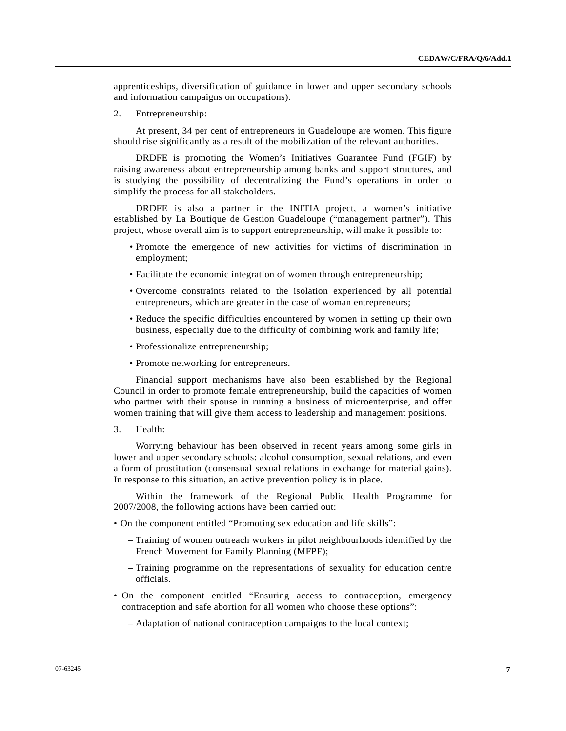apprenticeships, diversification of guidance in lower and upper secondary schools and information campaigns on occupations).

2. Entrepreneurship:

 At present, 34 per cent of entrepreneurs in Guadeloupe are women. This figure should rise significantly as a result of the mobilization of the relevant authorities.

 DRDFE is promoting the Women's Initiatives Guarantee Fund (FGIF) by raising awareness about entrepreneurship among banks and support structures, and is studying the possibility of decentralizing the Fund's operations in order to simplify the process for all stakeholders.

 DRDFE is also a partner in the INITIA project, a women's initiative established by La Boutique de Gestion Guadeloupe ("management partner"). This project, whose overall aim is to support entrepreneurship, will make it possible to:

- Promote the emergence of new activities for victims of discrimination in employment;
- Facilitate the economic integration of women through entrepreneurship;
- Overcome constraints related to the isolation experienced by all potential entrepreneurs, which are greater in the case of woman entrepreneurs;
- Reduce the specific difficulties encountered by women in setting up their own business, especially due to the difficulty of combining work and family life;
- Professionalize entrepreneurship;
- Promote networking for entrepreneurs.

 Financial support mechanisms have also been established by the Regional Council in order to promote female entrepreneurship, build the capacities of women who partner with their spouse in running a business of microenterprise, and offer women training that will give them access to leadership and management positions.

3. Health:

 Worrying behaviour has been observed in recent years among some girls in lower and upper secondary schools: alcohol consumption, sexual relations, and even a form of prostitution (consensual sexual relations in exchange for material gains). In response to this situation, an active prevention policy is in place.

 Within the framework of the Regional Public Health Programme for 2007/2008, the following actions have been carried out:

- On the component entitled "Promoting sex education and life skills":
	- Training of women outreach workers in pilot neighbourhoods identified by the French Movement for Family Planning (MFPF);
	- Training programme on the representations of sexuality for education centre officials.
- On the component entitled "Ensuring access to contraception, emergency contraception and safe abortion for all women who choose these options":
	- Adaptation of national contraception campaigns to the local context;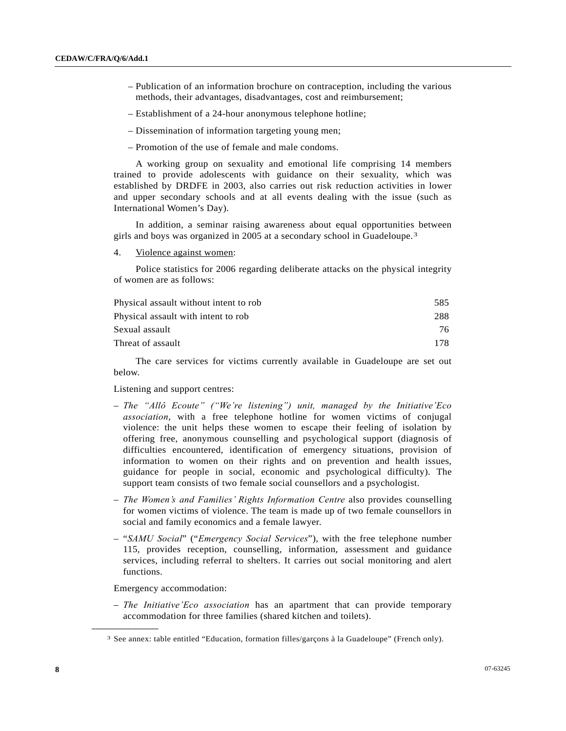- Publication of an information brochure on contraception, including the various methods, their advantages, disadvantages, cost and reimbursement;
- Establishment of a 24-hour anonymous telephone hotline;
- Dissemination of information targeting young men;
- Promotion of the use of female and male condoms.

 A working group on sexuality and emotional life comprising 14 members trained to provide adolescents with guidance on their sexuality, which was established by DRDFE in 2003, also carries out risk reduction activities in lower and upper secondary schools and at all events dealing with the issue (such as International Women's Day).

 In addition, a seminar raising awareness about equal opportunities between girls and boys was organized in 2005 at a secondary school in Guadeloupe.[3](#page-7-0)

4. Violence against women:

 Police statistics for 2006 regarding deliberate attacks on the physical integrity of women are as follows:

| Physical assault without intent to rob | 585 |
|----------------------------------------|-----|
| Physical assault with intent to rob    | 288 |
| Sexual assault                         | 76  |
| Threat of assault                      | 178 |
|                                        |     |

 The care services for victims currently available in Guadeloupe are set out below.

Listening and support centres:

- *The "Allô Ecoute" ("We're listening") unit, managed by the Initiative'Eco association*, with a free telephone hotline for women victims of conjugal violence: the unit helps these women to escape their feeling of isolation by offering free, anonymous counselling and psychological support (diagnosis of difficulties encountered, identification of emergency situations, provision of information to women on their rights and on prevention and health issues, guidance for people in social, economic and psychological difficulty). The support team consists of two female social counsellors and a psychologist.
- *The Women's and Families' Rights Information Centre* also provides counselling for women victims of violence. The team is made up of two female counsellors in social and family economics and a female lawyer.
- "*SAMU Social*" ("*Emergency Social Services*"), with the free telephone number 115, provides reception, counselling, information, assessment and guidance services, including referral to shelters. It carries out social monitoring and alert functions.

Emergency accommodation:

<span id="page-7-0"></span>**\_\_\_\_\_\_\_\_\_\_\_\_\_\_\_\_\_\_** 

– *The Initiative'Eco association* has an apartment that can provide temporary accommodation for three families (shared kitchen and toilets).

<sup>3</sup> See annex: table entitled "Education, formation filles/garçons à la Guadeloupe" (French only).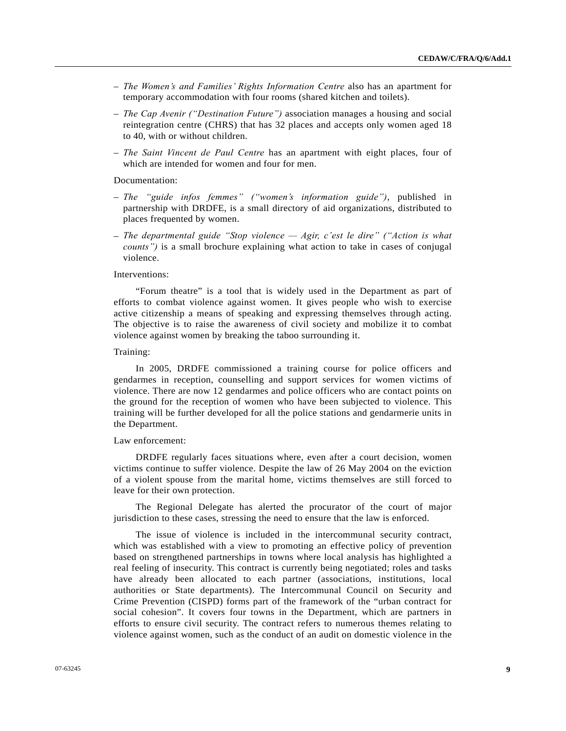- *The Women's and Families' Rights Information Centre* also has an apartment for temporary accommodation with four rooms (shared kitchen and toilets).
- *The Cap Avenir ("Destination Future")* association manages a housing and social reintegration centre (CHRS) that has 32 places and accepts only women aged 18 to 40, with or without children.
- *The Saint Vincent de Paul Centre* has an apartment with eight places, four of which are intended for women and four for men.

## Documentation:

- *The "guide infos femmes" ("women's information guide")*, published in partnership with DRDFE, is a small directory of aid organizations, distributed to places frequented by women.
- *The departmental guide "Stop violence Agir, c'est le dire" ("Action is what counts")* is a small brochure explaining what action to take in cases of conjugal violence.

#### Interventions:

 "Forum theatre" is a tool that is widely used in the Department as part of efforts to combat violence against women. It gives people who wish to exercise active citizenship a means of speaking and expressing themselves through acting. The objective is to raise the awareness of civil society and mobilize it to combat violence against women by breaking the taboo surrounding it.

#### Training:

 In 2005, DRDFE commissioned a training course for police officers and gendarmes in reception, counselling and support services for women victims of violence. There are now 12 gendarmes and police officers who are contact points on the ground for the reception of women who have been subjected to violence. This training will be further developed for all the police stations and gendarmerie units in the Department.

#### Law enforcement:

 DRDFE regularly faces situations where, even after a court decision, women victims continue to suffer violence. Despite the law of 26 May 2004 on the eviction of a violent spouse from the marital home, victims themselves are still forced to leave for their own protection.

 The Regional Delegate has alerted the procurator of the court of major jurisdiction to these cases, stressing the need to ensure that the law is enforced.

 The issue of violence is included in the intercommunal security contract, which was established with a view to promoting an effective policy of prevention based on strengthened partnerships in towns where local analysis has highlighted a real feeling of insecurity. This contract is currently being negotiated; roles and tasks have already been allocated to each partner (associations, institutions, local authorities or State departments). The Intercommunal Council on Security and Crime Prevention (CISPD) forms part of the framework of the "urban contract for social cohesion". It covers four towns in the Department, which are partners in efforts to ensure civil security. The contract refers to numerous themes relating to violence against women, such as the conduct of an audit on domestic violence in the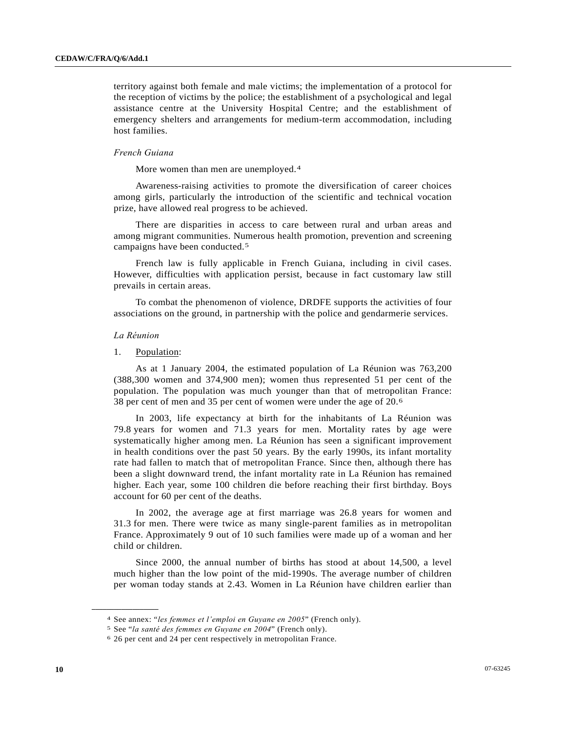territory against both female and male victims; the implementation of a protocol for the reception of victims by the police; the establishment of a psychological and legal assistance centre at the University Hospital Centre; and the establishment of emergency shelters and arrangements for medium-term accommodation, including host families.

#### *French Guiana*

More women than men are unemployed.<sup>[4](#page-9-0)</sup>

 Awareness-raising activities to promote the diversification of career choices among girls, particularly the introduction of the scientific and technical vocation prize, have allowed real progress to be achieved.

 There are disparities in access to care between rural and urban areas and among migrant communities. Numerous health promotion, prevention and screening campaigns have been conducted.[5](#page-9-1)

 French law is fully applicable in French Guiana, including in civil cases. However, difficulties with application persist, because in fact customary law still prevails in certain areas.

 To combat the phenomenon of violence, DRDFE supports the activities of four associations on the ground, in partnership with the police and gendarmerie services.

#### *La Réunion*

<span id="page-9-2"></span><span id="page-9-1"></span><span id="page-9-0"></span>**\_\_\_\_\_\_\_\_\_\_\_\_\_\_\_\_\_\_** 

1. Population:

 As at 1 January 2004, the estimated population of La Réunion was 763,200 (388,300 women and 374,900 men); women thus represented 51 per cent of the population. The population was much younger than that of metropolitan France: 38 per cent of men and 35 per cent of women were under the age of 20.[6](#page-9-2)

 In 2003, life expectancy at birth for the inhabitants of La Réunion was 79.8 years for women and 71.3 years for men. Mortality rates by age were systematically higher among men. La Réunion has seen a significant improvement in health conditions over the past 50 years. By the early 1990s, its infant mortality rate had fallen to match that of metropolitan France. Since then, although there has been a slight downward trend, the infant mortality rate in La Réunion has remained higher. Each year, some 100 children die before reaching their first birthday. Boys account for 60 per cent of the deaths.

 In 2002, the average age at first marriage was 26.8 years for women and 31.3 for men. There were twice as many single-parent families as in metropolitan France. Approximately 9 out of 10 such families were made up of a woman and her child or children.

 Since 2000, the annual number of births has stood at about 14,500, a level much higher than the low point of the mid-1990s. The average number of children per woman today stands at 2.43. Women in La Réunion have children earlier than

<sup>4</sup> See annex: "*les femmes et l'emploi en Guyane en 2005*" (French only). 5 See "*la santé des femmes en Guyane en 2004*" (French only). 6 26 per cent and 24 per cent respectively in metropolitan France.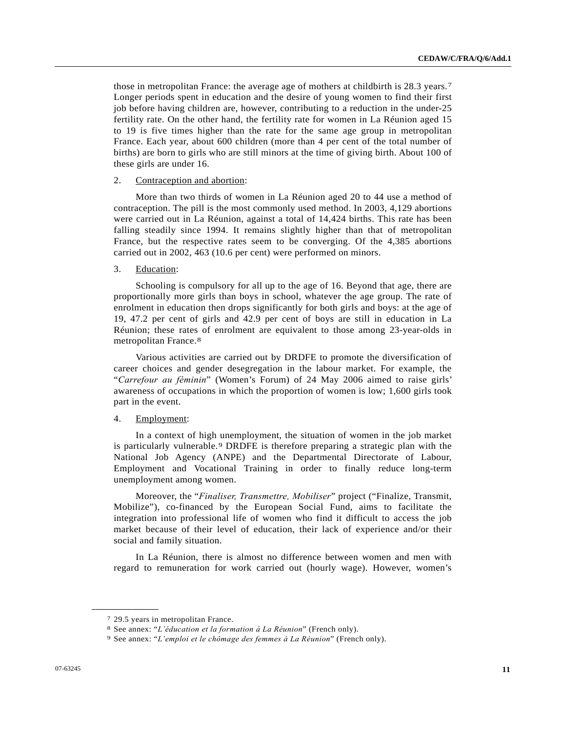those in metropolitan France: the average age of mothers at childbirth is 28.3 years.[7](#page-10-0) Longer periods spent in education and the desire of young women to find their first job before having children are, however, contributing to a reduction in the under-25 fertility rate. On the other hand, the fertility rate for women in La Réunion aged 15 to 19 is five times higher than the rate for the same age group in metropolitan France. Each year, about 600 children (more than 4 per cent of the total number of births) are born to girls who are still minors at the time of giving birth. About 100 of these girls are under 16.

#### 2. Contraception and abortion:

 More than two thirds of women in La Réunion aged 20 to 44 use a method of contraception. The pill is the most commonly used method. In 2003, 4,129 abortions were carried out in La Réunion, against a total of 14,424 births. This rate has been falling steadily since 1994. It remains slightly higher than that of metropolitan France, but the respective rates seem to be converging. Of the 4,385 abortions carried out in 2002, 463 (10.6 per cent) were performed on minors.

## 3. Education:

 Schooling is compulsory for all up to the age of 16. Beyond that age, there are proportionally more girls than boys in school, whatever the age group. The rate of enrolment in education then drops significantly for both girls and boys: at the age of 19, 47.2 per cent of girls and 42.9 per cent of boys are still in education in La Réunion; these rates of enrolment are equivalent to those among 23-year-olds in metropolitan France.[8](#page-10-1) 

 Various activities are carried out by DRDFE to promote the diversification of career choices and gender desegregation in the labour market. For example, the "*Carrefour au féminin*" (Women's Forum) of 24 May 2006 aimed to raise girls' awareness of occupations in which the proportion of women is low; 1,600 girls took part in the event.

#### 4. Employment:

 In a context of high unemployment, the situation of women in the job market is particularly vulnerable.[9](#page-10-2) DRDFE is therefore preparing a strategic plan with the National Job Agency (ANPE) and the Departmental Directorate of Labour, Employment and Vocational Training in order to finally reduce long-term unemployment among women.

 Moreover, the "*Finaliser, Transmettre, Mobiliser*" project ("Finalize, Transmit, Mobilize"), co-financed by the European Social Fund, aims to facilitate the integration into professional life of women who find it difficult to access the job market because of their level of education, their lack of experience and/or their social and family situation.

 In La Réunion, there is almost no difference between women and men with regard to remuneration for work carried out (hourly wage). However, women's

<span id="page-10-0"></span><sup>7 29.5</sup> years in metropolitan France.

<span id="page-10-2"></span><span id="page-10-1"></span><sup>8</sup> See annex: "*L'éducation et la formation á La Réunion*" (French only). 9 See annex: "*L'emploi et le chômage des femmes à La Réunion*" (French only).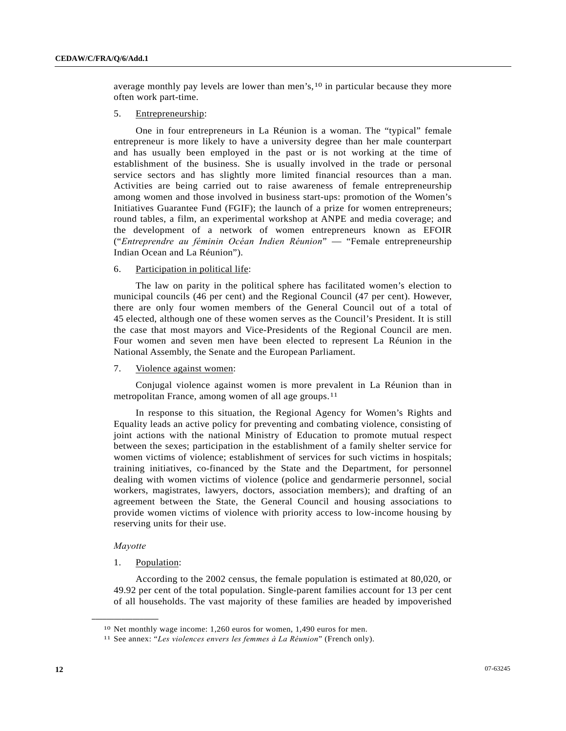average monthly pay levels are lower than men's,[1](#page-11-0)0 in particular because they more often work part-time.

## 5. Entrepreneurship:

 One in four entrepreneurs in La Réunion is a woman. The "typical" female entrepreneur is more likely to have a university degree than her male counterpart and has usually been employed in the past or is not working at the time of establishment of the business. She is usually involved in the trade or personal service sectors and has slightly more limited financial resources than a man. Activities are being carried out to raise awareness of female entrepreneurship among women and those involved in business start-ups: promotion of the Women's Initiatives Guarantee Fund (FGIF); the launch of a prize for women entrepreneurs; round tables, a film, an experimental workshop at ANPE and media coverage; and the development of a network of women entrepreneurs known as EFOIR ("*Entreprendre au féminin Océan Indien Réunion*" — "Female entrepreneurship Indian Ocean and La Réunion").

## 6. Participation in political life:

 The law on parity in the political sphere has facilitated women's election to municipal councils (46 per cent) and the Regional Council (47 per cent). However, there are only four women members of the General Council out of a total of 45 elected, although one of these women serves as the Council's President. It is still the case that most mayors and Vice-Presidents of the Regional Council are men. Four women and seven men have been elected to represent La Réunion in the National Assembly, the Senate and the European Parliament.

### 7. Violence against women:

 Conjugal violence against women is more prevalent in La Réunion than in metropolitan France, among women of all age groups.[1](#page-11-1)1

 In response to this situation, the Regional Agency for Women's Rights and Equality leads an active policy for preventing and combating violence, consisting of joint actions with the national Ministry of Education to promote mutual respect between the sexes; participation in the establishment of a family shelter service for women victims of violence; establishment of services for such victims in hospitals; training initiatives, co-financed by the State and the Department, for personnel dealing with women victims of violence (police and gendarmerie personnel, social workers, magistrates, lawyers, doctors, association members); and drafting of an agreement between the State, the General Council and housing associations to provide women victims of violence with priority access to low-income housing by reserving units for their use.

#### *Mayotte*

<span id="page-11-1"></span><span id="page-11-0"></span>**\_\_\_\_\_\_\_\_\_\_\_\_\_\_\_\_\_\_** 

## 1. Population:

 According to the 2002 census, the female population is estimated at 80,020, or 49.92 per cent of the total population. Single-parent families account for 13 per cent of all households. The vast majority of these families are headed by impoverished

<sup>10</sup> Net monthly wage income: 1,260 euros for women, 1,490 euros for men.

<sup>11</sup> See annex: "*Les violences envers les femmes à La Réunion*" (French only).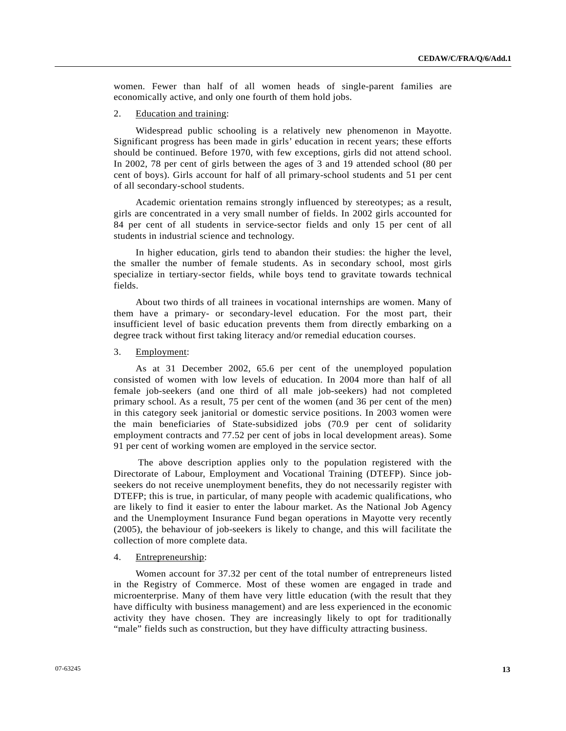women. Fewer than half of all women heads of single-parent families are economically active, and only one fourth of them hold jobs.

#### 2. Education and training:

 Widespread public schooling is a relatively new phenomenon in Mayotte. Significant progress has been made in girls' education in recent years; these efforts should be continued. Before 1970, with few exceptions, girls did not attend school. In 2002, 78 per cent of girls between the ages of 3 and 19 attended school (80 per cent of boys). Girls account for half of all primary-school students and 51 per cent of all secondary-school students.

 Academic orientation remains strongly influenced by stereotypes; as a result, girls are concentrated in a very small number of fields. In 2002 girls accounted for 84 per cent of all students in service-sector fields and only 15 per cent of all students in industrial science and technology.

 In higher education, girls tend to abandon their studies: the higher the level, the smaller the number of female students. As in secondary school, most girls specialize in tertiary-sector fields, while boys tend to gravitate towards technical fields.

 About two thirds of all trainees in vocational internships are women. Many of them have a primary- or secondary-level education. For the most part, their insufficient level of basic education prevents them from directly embarking on a degree track without first taking literacy and/or remedial education courses.

## 3. Employment:

 As at 31 December 2002, 65.6 per cent of the unemployed population consisted of women with low levels of education. In 2004 more than half of all female job-seekers (and one third of all male job-seekers) had not completed primary school. As a result, 75 per cent of the women (and 36 per cent of the men) in this category seek janitorial or domestic service positions. In 2003 women were the main beneficiaries of State-subsidized jobs (70.9 per cent of solidarity employment contracts and 77.52 per cent of jobs in local development areas). Some 91 per cent of working women are employed in the service sector.

 The above description applies only to the population registered with the Directorate of Labour, Employment and Vocational Training (DTEFP). Since jobseekers do not receive unemployment benefits, they do not necessarily register with DTEFP; this is true, in particular, of many people with academic qualifications, who are likely to find it easier to enter the labour market. As the National Job Agency and the Unemployment Insurance Fund began operations in Mayotte very recently (2005), the behaviour of job-seekers is likely to change, and this will facilitate the collection of more complete data.

#### 4. Entrepreneurship:

 Women account for 37.32 per cent of the total number of entrepreneurs listed in the Registry of Commerce. Most of these women are engaged in trade and microenterprise. Many of them have very little education (with the result that they have difficulty with business management) and are less experienced in the economic activity they have chosen. They are increasingly likely to opt for traditionally "male" fields such as construction, but they have difficulty attracting business.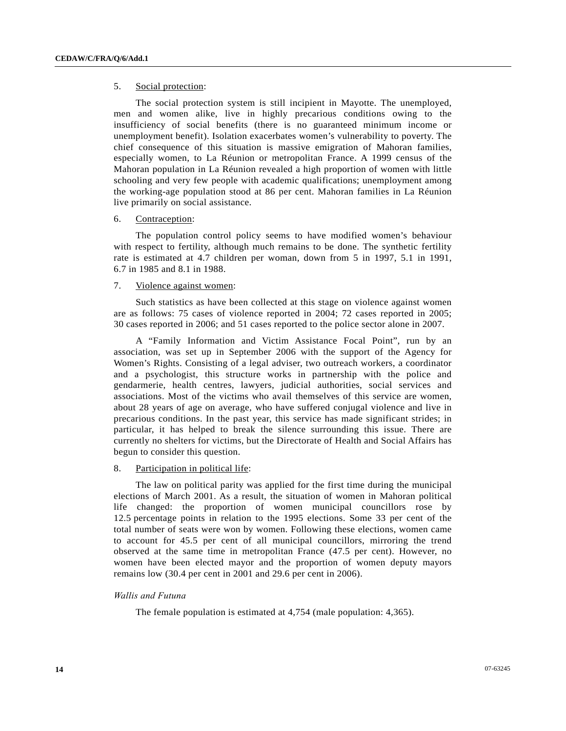## 5. Social protection:

 The social protection system is still incipient in Mayotte. The unemployed, men and women alike, live in highly precarious conditions owing to the insufficiency of social benefits (there is no guaranteed minimum income or unemployment benefit). Isolation exacerbates women's vulnerability to poverty. The chief consequence of this situation is massive emigration of Mahoran families, especially women, to La Réunion or metropolitan France. A 1999 census of the Mahoran population in La Réunion revealed a high proportion of women with little schooling and very few people with academic qualifications; unemployment among the working-age population stood at 86 per cent. Mahoran families in La Réunion live primarily on social assistance.

## 6. Contraception:

 The population control policy seems to have modified women's behaviour with respect to fertility, although much remains to be done. The synthetic fertility rate is estimated at 4.7 children per woman, down from 5 in 1997, 5.1 in 1991, 6.7 in 1985 and 8.1 in 1988.

## 7. Violence against women:

 Such statistics as have been collected at this stage on violence against women are as follows: 75 cases of violence reported in 2004; 72 cases reported in 2005; 30 cases reported in 2006; and 51 cases reported to the police sector alone in 2007.

 A "Family Information and Victim Assistance Focal Point", run by an association, was set up in September 2006 with the support of the Agency for Women's Rights. Consisting of a legal adviser, two outreach workers, a coordinator and a psychologist, this structure works in partnership with the police and gendarmerie, health centres, lawyers, judicial authorities, social services and associations. Most of the victims who avail themselves of this service are women, about 28 years of age on average, who have suffered conjugal violence and live in precarious conditions. In the past year, this service has made significant strides; in particular, it has helped to break the silence surrounding this issue. There are currently no shelters for victims, but the Directorate of Health and Social Affairs has begun to consider this question.

## 8. Participation in political life:

 The law on political parity was applied for the first time during the municipal elections of March 2001. As a result, the situation of women in Mahoran political life changed: the proportion of women municipal councillors rose by 12.5 percentage points in relation to the 1995 elections. Some 33 per cent of the total number of seats were won by women. Following these elections, women came to account for 45.5 per cent of all municipal councillors, mirroring the trend observed at the same time in metropolitan France (47.5 per cent). However, no women have been elected mayor and the proportion of women deputy mayors remains low (30.4 per cent in 2001 and 29.6 per cent in 2006).

## *Wallis and Futuna*

The female population is estimated at 4,754 (male population: 4,365).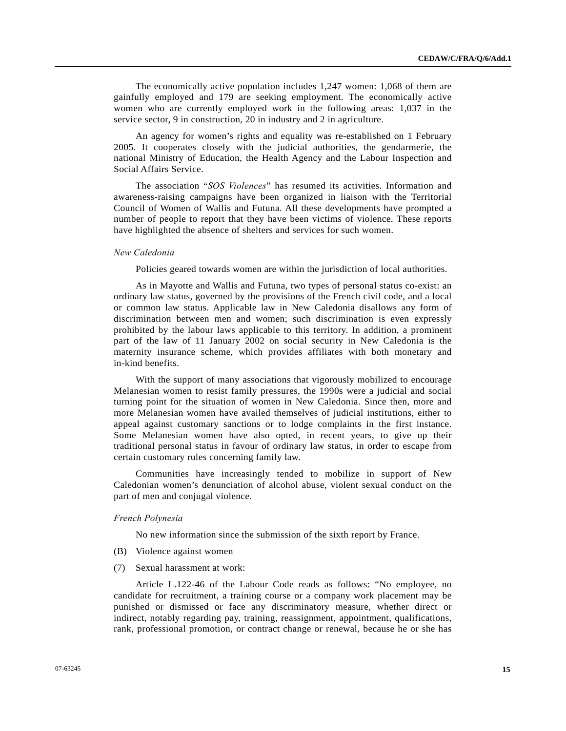The economically active population includes 1,247 women: 1,068 of them are gainfully employed and 179 are seeking employment. The economically active women who are currently employed work in the following areas: 1,037 in the service sector, 9 in construction, 20 in industry and 2 in agriculture.

 An agency for women's rights and equality was re-established on 1 February 2005. It cooperates closely with the judicial authorities, the gendarmerie, the national Ministry of Education, the Health Agency and the Labour Inspection and Social Affairs Service.

 The association "*SOS Violences*" has resumed its activities. Information and awareness-raising campaigns have been organized in liaison with the Territorial Council of Women of Wallis and Futuna. All these developments have prompted a number of people to report that they have been victims of violence. These reports have highlighted the absence of shelters and services for such women.

## *New Caledonia*

Policies geared towards women are within the jurisdiction of local authorities.

 As in Mayotte and Wallis and Futuna, two types of personal status co-exist: an ordinary law status, governed by the provisions of the French civil code, and a local or common law status. Applicable law in New Caledonia disallows any form of discrimination between men and women; such discrimination is even expressly prohibited by the labour laws applicable to this territory. In addition, a prominent part of the law of 11 January 2002 on social security in New Caledonia is the maternity insurance scheme, which provides affiliates with both monetary and in-kind benefits.

 With the support of many associations that vigorously mobilized to encourage Melanesian women to resist family pressures, the 1990s were a judicial and social turning point for the situation of women in New Caledonia. Since then, more and more Melanesian women have availed themselves of judicial institutions, either to appeal against customary sanctions or to lodge complaints in the first instance. Some Melanesian women have also opted, in recent years, to give up their traditional personal status in favour of ordinary law status, in order to escape from certain customary rules concerning family law.

 Communities have increasingly tended to mobilize in support of New Caledonian women's denunciation of alcohol abuse, violent sexual conduct on the part of men and conjugal violence.

## *French Polynesia*

No new information since the submission of the sixth report by France.

- (B) Violence against women
- (7) Sexual harassment at work:

 Article L.122-46 of the Labour Code reads as follows: "No employee, no candidate for recruitment, a training course or a company work placement may be punished or dismissed or face any discriminatory measure, whether direct or indirect, notably regarding pay, training, reassignment, appointment, qualifications, rank, professional promotion, or contract change or renewal, because he or she has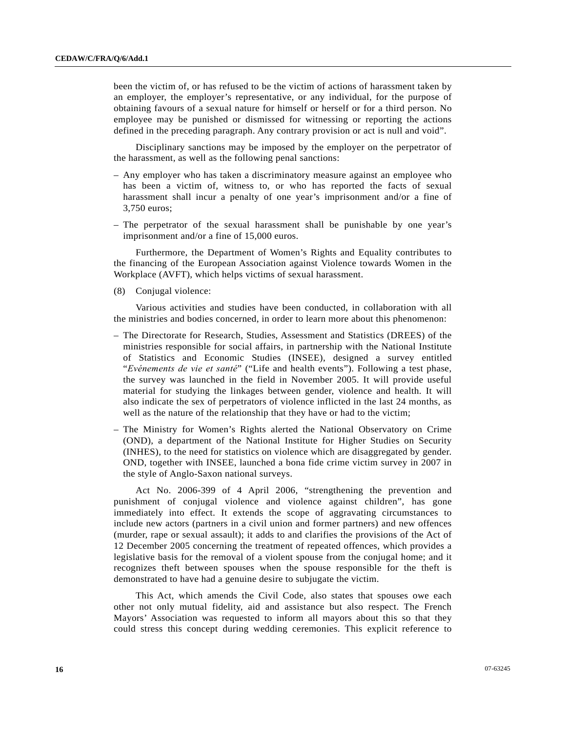been the victim of, or has refused to be the victim of actions of harassment taken by an employer, the employer's representative, or any individual, for the purpose of obtaining favours of a sexual nature for himself or herself or for a third person. No employee may be punished or dismissed for witnessing or reporting the actions defined in the preceding paragraph. Any contrary provision or act is null and void".

 Disciplinary sanctions may be imposed by the employer on the perpetrator of the harassment, as well as the following penal sanctions:

- Any employer who has taken a discriminatory measure against an employee who has been a victim of, witness to, or who has reported the facts of sexual harassment shall incur a penalty of one year's imprisonment and/or a fine of 3,750 euros;
- The perpetrator of the sexual harassment shall be punishable by one year's imprisonment and/or a fine of 15,000 euros.

 Furthermore, the Department of Women's Rights and Equality contributes to the financing of the European Association against Violence towards Women in the Workplace (AVFT), which helps victims of sexual harassment.

(8) Conjugal violence:

 Various activities and studies have been conducted, in collaboration with all the ministries and bodies concerned, in order to learn more about this phenomenon:

- The Directorate for Research, Studies, Assessment and Statistics (DREES) of the ministries responsible for social affairs, in partnership with the National Institute of Statistics and Economic Studies (INSEE), designed a survey entitled "*Evénements de vie et santé*" ("Life and health events"). Following a test phase, the survey was launched in the field in November 2005. It will provide useful material for studying the linkages between gender, violence and health. It will also indicate the sex of perpetrators of violence inflicted in the last 24 months, as well as the nature of the relationship that they have or had to the victim;
- The Ministry for Women's Rights alerted the National Observatory on Crime (OND), a department of the National Institute for Higher Studies on Security (INHES), to the need for statistics on violence which are disaggregated by gender. OND, together with INSEE, launched a bona fide crime victim survey in 2007 in the style of Anglo-Saxon national surveys.

 Act No. 2006-399 of 4 April 2006, "strengthening the prevention and punishment of conjugal violence and violence against children", has gone immediately into effect. It extends the scope of aggravating circumstances to include new actors (partners in a civil union and former partners) and new offences (murder, rape or sexual assault); it adds to and clarifies the provisions of the Act of 12 December 2005 concerning the treatment of repeated offences, which provides a legislative basis for the removal of a violent spouse from the conjugal home; and it recognizes theft between spouses when the spouse responsible for the theft is demonstrated to have had a genuine desire to subjugate the victim.

 This Act, which amends the Civil Code, also states that spouses owe each other not only mutual fidelity, aid and assistance but also respect. The French Mayors' Association was requested to inform all mayors about this so that they could stress this concept during wedding ceremonies. This explicit reference to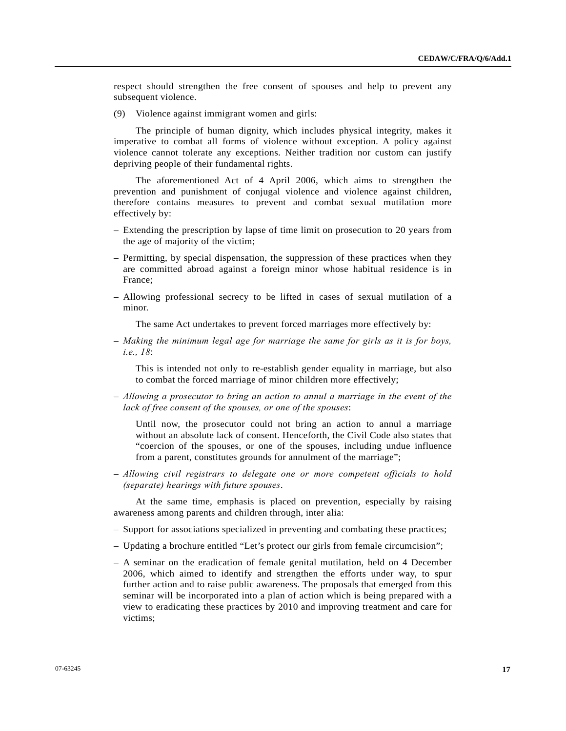respect should strengthen the free consent of spouses and help to prevent any subsequent violence.

(9) Violence against immigrant women and girls:

 The principle of human dignity, which includes physical integrity, makes it imperative to combat all forms of violence without exception. A policy against violence cannot tolerate any exceptions. Neither tradition nor custom can justify depriving people of their fundamental rights.

 The aforementioned Act of 4 April 2006, which aims to strengthen the prevention and punishment of conjugal violence and violence against children, therefore contains measures to prevent and combat sexual mutilation more effectively by:

- Extending the prescription by lapse of time limit on prosecution to 20 years from the age of majority of the victim;
- Permitting, by special dispensation, the suppression of these practices when they are committed abroad against a foreign minor whose habitual residence is in France;
- Allowing professional secrecy to be lifted in cases of sexual mutilation of a minor.

The same Act undertakes to prevent forced marriages more effectively by:

– *Making the minimum legal age for marriage the same for girls as it is for boys, i.e., 18*:

 This is intended not only to re-establish gender equality in marriage, but also to combat the forced marriage of minor children more effectively;

– *Allowing a prosecutor to bring an action to annul a marriage in the event of the lack of free consent of the spouses, or one of the spouses*:

 Until now, the prosecutor could not bring an action to annul a marriage without an absolute lack of consent. Henceforth, the Civil Code also states that "coercion of the spouses, or one of the spouses, including undue influence from a parent, constitutes grounds for annulment of the marriage";

– *Allowing civil registrars to delegate one or more competent officials to hold (separate) hearings with future spouses*.

 At the same time, emphasis is placed on prevention, especially by raising awareness among parents and children through, inter alia:

- Support for associations specialized in preventing and combating these practices;
- Updating a brochure entitled "Let's protect our girls from female circumcision";
- A seminar on the eradication of female genital mutilation, held on 4 December 2006, which aimed to identify and strengthen the efforts under way, to spur further action and to raise public awareness. The proposals that emerged from this seminar will be incorporated into a plan of action which is being prepared with a view to eradicating these practices by 2010 and improving treatment and care for victims;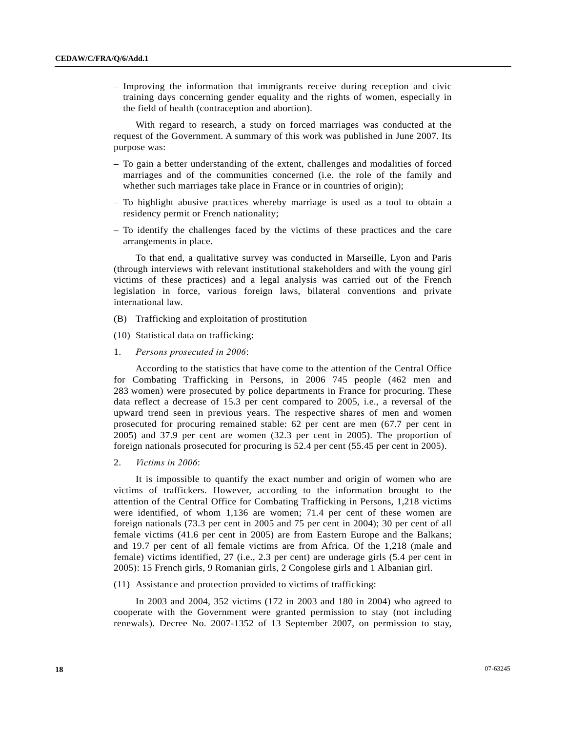– Improving the information that immigrants receive during reception and civic training days concerning gender equality and the rights of women, especially in the field of health (contraception and abortion).

 With regard to research, a study on forced marriages was conducted at the request of the Government. A summary of this work was published in June 2007. Its purpose was:

- To gain a better understanding of the extent, challenges and modalities of forced marriages and of the communities concerned (i.e. the role of the family and whether such marriages take place in France or in countries of origin);
- To highlight abusive practices whereby marriage is used as a tool to obtain a residency permit or French nationality;
- To identify the challenges faced by the victims of these practices and the care arrangements in place.

 To that end, a qualitative survey was conducted in Marseille, Lyon and Paris (through interviews with relevant institutional stakeholders and with the young girl victims of these practices) and a legal analysis was carried out of the French legislation in force, various foreign laws, bilateral conventions and private international law.

- (B) Trafficking and exploitation of prostitution
- (10) Statistical data on trafficking:
- 1. *Persons prosecuted in 2006*:

 According to the statistics that have come to the attention of the Central Office for Combating Trafficking in Persons, in 2006 745 people (462 men and 283 women) were prosecuted by police departments in France for procuring. These data reflect a decrease of 15.3 per cent compared to 2005, i.e., a reversal of the upward trend seen in previous years. The respective shares of men and women prosecuted for procuring remained stable: 62 per cent are men (67.7 per cent in 2005) and 37.9 per cent are women (32.3 per cent in 2005). The proportion of foreign nationals prosecuted for procuring is 52.4 per cent (55.45 per cent in 2005).

2. *Victims in 2006*:

 It is impossible to quantify the exact number and origin of women who are victims of traffickers. However, according to the information brought to the attention of the Central Office for Combating Trafficking in Persons, 1,218 victims were identified, of whom 1,136 are women; 71.4 per cent of these women are foreign nationals (73.3 per cent in 2005 and 75 per cent in 2004); 30 per cent of all female victims (41.6 per cent in 2005) are from Eastern Europe and the Balkans; and 19.7 per cent of all female victims are from Africa. Of the 1,218 (male and female) victims identified, 27 (i.e., 2.3 per cent) are underage girls (5.4 per cent in 2005): 15 French girls, 9 Romanian girls, 2 Congolese girls and 1 Albanian girl.

(11) Assistance and protection provided to victims of trafficking:

 In 2003 and 2004, 352 victims (172 in 2003 and 180 in 2004) who agreed to cooperate with the Government were granted permission to stay (not including renewals). Decree No. 2007-1352 of 13 September 2007, on permission to stay,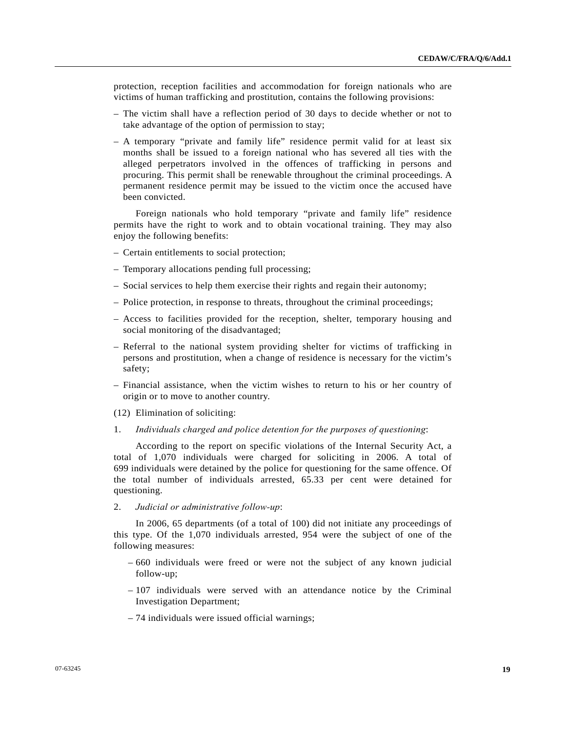protection, reception facilities and accommodation for foreign nationals who are victims of human trafficking and prostitution, contains the following provisions:

- The victim shall have a reflection period of 30 days to decide whether or not to take advantage of the option of permission to stay;
- A temporary "private and family life" residence permit valid for at least six months shall be issued to a foreign national who has severed all ties with the alleged perpetrators involved in the offences of trafficking in persons and procuring. This permit shall be renewable throughout the criminal proceedings. A permanent residence permit may be issued to the victim once the accused have been convicted.

 Foreign nationals who hold temporary "private and family life" residence permits have the right to work and to obtain vocational training. They may also enjoy the following benefits:

- Certain entitlements to social protection;
- Temporary allocations pending full processing;
- Social services to help them exercise their rights and regain their autonomy;
- Police protection, in response to threats, throughout the criminal proceedings;
- Access to facilities provided for the reception, shelter, temporary housing and social monitoring of the disadvantaged;
- Referral to the national system providing shelter for victims of trafficking in persons and prostitution, when a change of residence is necessary for the victim's safety;
- Financial assistance, when the victim wishes to return to his or her country of origin or to move to another country.
- (12) Elimination of soliciting:
- 1. *Individuals charged and police detention for the purposes of questioning*:

 According to the report on specific violations of the Internal Security Act, a total of 1,070 individuals were charged for soliciting in 2006. A total of 699 individuals were detained by the police for questioning for the same offence. Of the total number of individuals arrested, 65.33 per cent were detained for questioning.

2. *Judicial or administrative follow-up*:

 In 2006, 65 departments (of a total of 100) did not initiate any proceedings of this type. Of the 1,070 individuals arrested, 954 were the subject of one of the following measures:

- 660 individuals were freed or were not the subject of any known judicial follow-up;
- 107 individuals were served with an attendance notice by the Criminal Investigation Department;
- 74 individuals were issued official warnings;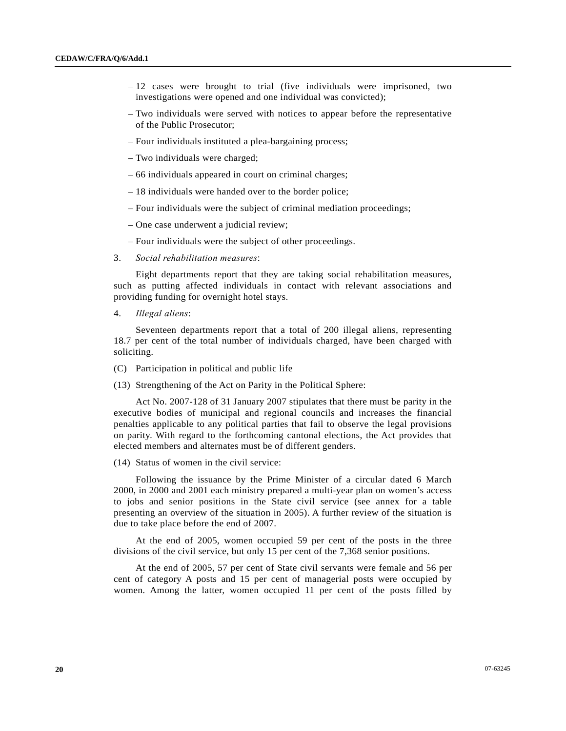- 12 cases were brought to trial (five individuals were imprisoned, two investigations were opened and one individual was convicted);
- Two individuals were served with notices to appear before the representative of the Public Prosecutor;
- Four individuals instituted a plea-bargaining process;
- Two individuals were charged;
- 66 individuals appeared in court on criminal charges;
- 18 individuals were handed over to the border police;
- Four individuals were the subject of criminal mediation proceedings;
- One case underwent a judicial review;
- Four individuals were the subject of other proceedings.
- 3. *Social rehabilitation measures*:

 Eight departments report that they are taking social rehabilitation measures, such as putting affected individuals in contact with relevant associations and providing funding for overnight hotel stays.

4. *Illegal aliens*:

 Seventeen departments report that a total of 200 illegal aliens, representing 18.7 per cent of the total number of individuals charged, have been charged with soliciting.

- (C) Participation in political and public life
- (13) Strengthening of the Act on Parity in the Political Sphere:

 Act No. 2007-128 of 31 January 2007 stipulates that there must be parity in the executive bodies of municipal and regional councils and increases the financial penalties applicable to any political parties that fail to observe the legal provisions on parity. With regard to the forthcoming cantonal elections, the Act provides that elected members and alternates must be of different genders.

(14) Status of women in the civil service:

 Following the issuance by the Prime Minister of a circular dated 6 March 2000, in 2000 and 2001 each ministry prepared a multi-year plan on women's access to jobs and senior positions in the State civil service (see annex for a table presenting an overview of the situation in 2005). A further review of the situation is due to take place before the end of 2007.

 At the end of 2005, women occupied 59 per cent of the posts in the three divisions of the civil service, but only 15 per cent of the 7,368 senior positions.

 At the end of 2005, 57 per cent of State civil servants were female and 56 per cent of category A posts and 15 per cent of managerial posts were occupied by women. Among the latter, women occupied 11 per cent of the posts filled by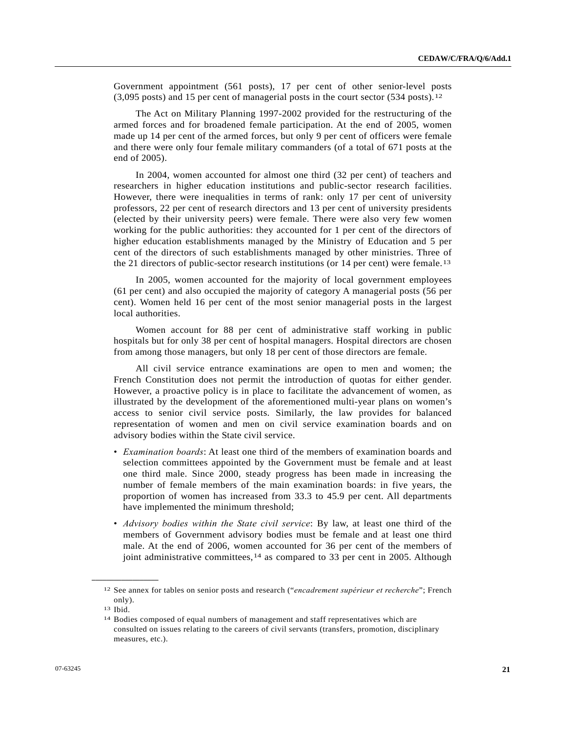Government appointment (561 posts), 17 per cent of other senior-level posts  $(3,095 \text{ posts})$  and 15 per cent of managerial posts in the court sector  $(534 \text{ posts})$ .<sup>[12](#page-20-0)</sup>

 The Act on Military Planning 1997-2002 provided for the restructuring of the armed forces and for broadened female participation. At the end of 2005, women made up 14 per cent of the armed forces, but only 9 per cent of officers were female and there were only four female military commanders (of a total of 671 posts at the end of 2005).

 In 2004, women accounted for almost one third (32 per cent) of teachers and researchers in higher education institutions and public-sector research facilities. However, there were inequalities in terms of rank: only 17 per cent of university professors, 22 per cent of research directors and 13 per cent of university presidents (elected by their university peers) were female. There were also very few women working for the public authorities: they accounted for 1 per cent of the directors of higher education establishments managed by the Ministry of Education and 5 per cent of the directors of such establishments managed by other ministries. Three of the 21 directors of public-sector research institutions (or 14 per cent) were female.<sup>[13](#page-20-1)</sup>

 In 2005, women accounted for the majority of local government employees (61 per cent) and also occupied the majority of category A managerial posts (56 per cent). Women held 16 per cent of the most senior managerial posts in the largest local authorities.

 Women account for 88 per cent of administrative staff working in public hospitals but for only 38 per cent of hospital managers. Hospital directors are chosen from among those managers, but only 18 per cent of those directors are female.

 All civil service entrance examinations are open to men and women; the French Constitution does not permit the introduction of quotas for either gender. However, a proactive policy is in place to facilitate the advancement of women, as illustrated by the development of the aforementioned multi-year plans on women's access to senior civil service posts. Similarly, the law provides for balanced representation of women and men on civil service examination boards and on advisory bodies within the State civil service.

- *Examination boards*: At least one third of the members of examination boards and selection committees appointed by the Government must be female and at least one third male. Since 2000, steady progress has been made in increasing the number of female members of the main examination boards: in five years, the proportion of women has increased from 33.3 to 45.9 per cent. All departments have implemented the minimum threshold;
- *Advisory bodies within the State civil service*: By law, at least one third of the members of Government advisory bodies must be female and at least one third male. At the end of 2006, women accounted for 36 per cent of the members of joint administrative committees, <sup>[14](#page-20-2)</sup> as compared to 33 per cent in 2005. Although

<span id="page-20-1"></span><span id="page-20-0"></span><sup>12</sup> See annex for tables on senior posts and research ("*encadrement supérieur et recherche*"; French only).

<sup>13</sup> Ibid.

<span id="page-20-2"></span><sup>14</sup> Bodies composed of equal numbers of management and staff representatives which are consulted on issues relating to the careers of civil servants (transfers, promotion, disciplinary measures, etc.).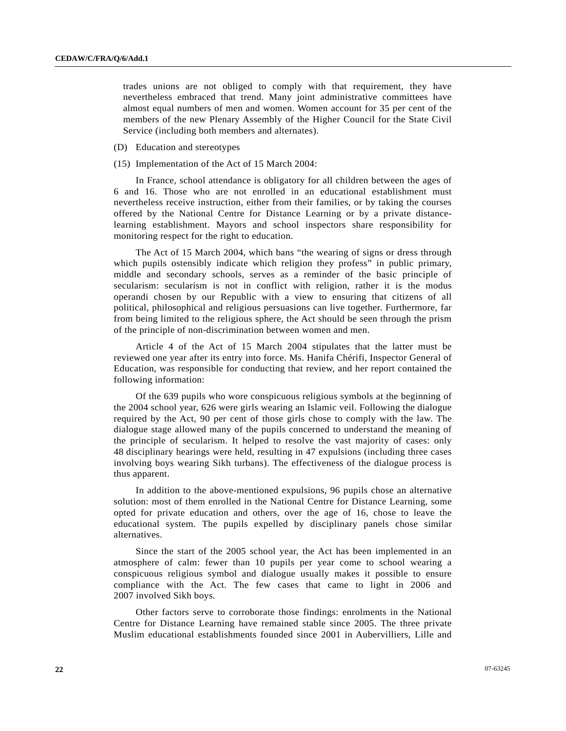trades unions are not obliged to comply with that requirement, they have nevertheless embraced that trend. Many joint administrative committees have almost equal numbers of men and women. Women account for 35 per cent of the members of the new Plenary Assembly of the Higher Council for the State Civil Service (including both members and alternates).

- (D) Education and stereotypes
- (15) Implementation of the Act of 15 March 2004:

 In France, school attendance is obligatory for all children between the ages of 6 and 16. Those who are not enrolled in an educational establishment must nevertheless receive instruction, either from their families, or by taking the courses offered by the National Centre for Distance Learning or by a private distancelearning establishment. Mayors and school inspectors share responsibility for monitoring respect for the right to education.

 The Act of 15 March 2004, which bans "the wearing of signs or dress through which pupils ostensibly indicate which religion they profess" in public primary, middle and secondary schools, serves as a reminder of the basic principle of secularism: secularism is not in conflict with religion, rather it is the modus operandi chosen by our Republic with a view to ensuring that citizens of all political, philosophical and religious persuasions can live together. Furthermore, far from being limited to the religious sphere, the Act should be seen through the prism of the principle of non-discrimination between women and men.

 Article 4 of the Act of 15 March 2004 stipulates that the latter must be reviewed one year after its entry into force. Ms. Hanifa Chérifi, Inspector General of Education, was responsible for conducting that review, and her report contained the following information:

 Of the 639 pupils who wore conspicuous religious symbols at the beginning of the 2004 school year, 626 were girls wearing an Islamic veil. Following the dialogue required by the Act, 90 per cent of those girls chose to comply with the law. The dialogue stage allowed many of the pupils concerned to understand the meaning of the principle of secularism. It helped to resolve the vast majority of cases: only 48 disciplinary hearings were held, resulting in 47 expulsions (including three cases involving boys wearing Sikh turbans). The effectiveness of the dialogue process is thus apparent.

 In addition to the above-mentioned expulsions, 96 pupils chose an alternative solution: most of them enrolled in the National Centre for Distance Learning, some opted for private education and others, over the age of 16, chose to leave the educational system. The pupils expelled by disciplinary panels chose similar alternatives.

 Since the start of the 2005 school year, the Act has been implemented in an atmosphere of calm: fewer than 10 pupils per year come to school wearing a conspicuous religious symbol and dialogue usually makes it possible to ensure compliance with the Act. The few cases that came to light in 2006 and 2007 involved Sikh boys.

 Other factors serve to corroborate those findings: enrolments in the National Centre for Distance Learning have remained stable since 2005. The three private Muslim educational establishments founded since 2001 in Aubervilliers, Lille and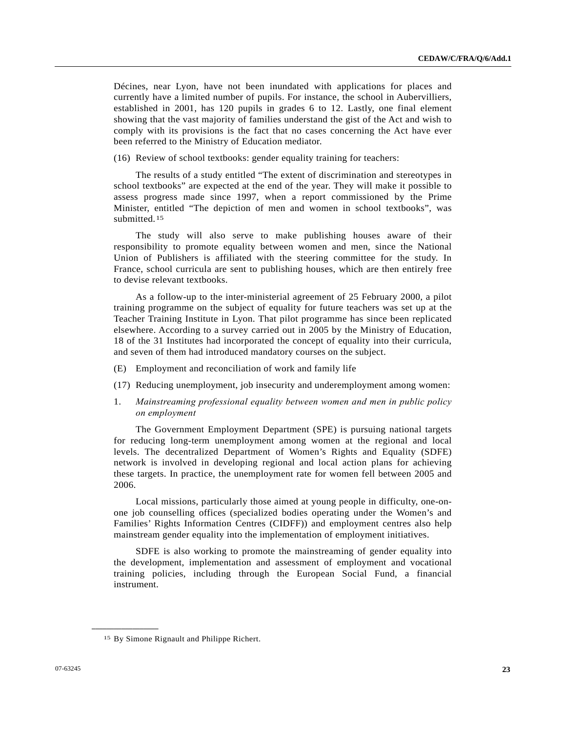Décines, near Lyon, have not been inundated with applications for places and currently have a limited number of pupils. For instance, the school in Aubervilliers, established in 2001, has 120 pupils in grades 6 to 12. Lastly, one final element showing that the vast majority of families understand the gist of the Act and wish to comply with its provisions is the fact that no cases concerning the Act have ever been referred to the Ministry of Education mediator.

(16) Review of school textbooks: gender equality training for teachers:

 The results of a study entitled "The extent of discrimination and stereotypes in school textbooks" are expected at the end of the year. They will make it possible to assess progress made since 1997, when a report commissioned by the Prime Minister, entitled "The depiction of men and women in school textbooks", was submitted.<sup>[15](#page-22-0)</sup>

 The study will also serve to make publishing houses aware of their responsibility to promote equality between women and men, since the National Union of Publishers is affiliated with the steering committee for the study. In France, school curricula are sent to publishing houses, which are then entirely free to devise relevant textbooks.

 As a follow-up to the inter-ministerial agreement of 25 February 2000, a pilot training programme on the subject of equality for future teachers was set up at the Teacher Training Institute in Lyon. That pilot programme has since been replicated elsewhere. According to a survey carried out in 2005 by the Ministry of Education, 18 of the 31 Institutes had incorporated the concept of equality into their curricula, and seven of them had introduced mandatory courses on the subject.

- (E) Employment and reconciliation of work and family life
- (17) Reducing unemployment, job insecurity and underemployment among women:
- 1. *Mainstreaming professional equality between women and men in public policy on employment*

 The Government Employment Department (SPE) is pursuing national targets for reducing long-term unemployment among women at the regional and local levels. The decentralized Department of Women's Rights and Equality (SDFE) network is involved in developing regional and local action plans for achieving these targets. In practice, the unemployment rate for women fell between 2005 and 2006.

 Local missions, particularly those aimed at young people in difficulty, one-onone job counselling offices (specialized bodies operating under the Women's and Families' Rights Information Centres (CIDFF)) and employment centres also help mainstream gender equality into the implementation of employment initiatives.

 SDFE is also working to promote the mainstreaming of gender equality into the development, implementation and assessment of employment and vocational training policies, including through the European Social Fund, a financial instrument.

<span id="page-22-0"></span><sup>15</sup> By Simone Rignault and Philippe Richert.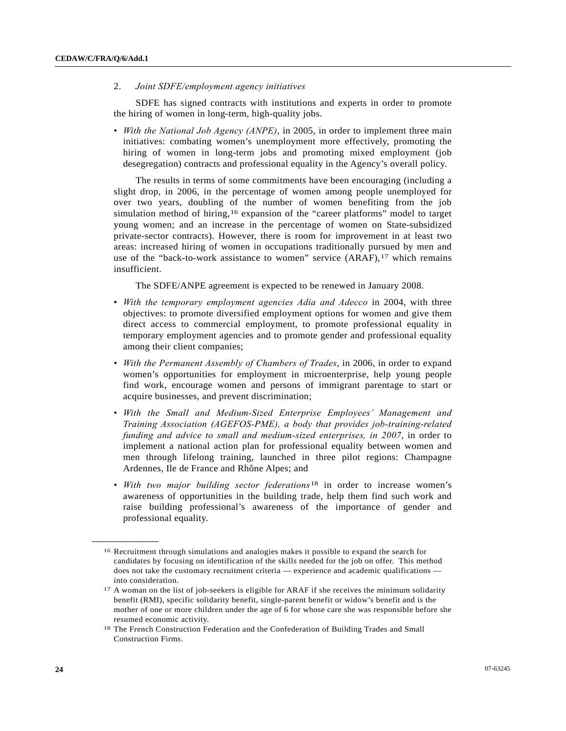## 2. *Joint SDFE/employment agency initiatives*

 SDFE has signed contracts with institutions and experts in order to promote the hiring of women in long-term, high-quality jobs.

• *With the National Job Agency (ANPE)*, in 2005, in order to implement three main initiatives: combating women's unemployment more effectively, promoting the hiring of women in long-term jobs and promoting mixed employment (job desegregation) contracts and professional equality in the Agency's overall policy.

 The results in terms of some commitments have been encouraging (including a slight drop, in 2006, in the percentage of women among people unemployed for over two years, doubling of the number of women benefiting from the job simulation method of hiring,<sup>[16](#page-23-0)</sup> expansion of the "career platforms" model to target young women; and an increase in the percentage of women on State-subsidized private-sector contracts). However, there is room for improvement in at least two areas: increased hiring of women in occupations traditionally pursued by men and use of the "back-to-work assistance to women" service  $(ARAF)$ ,  $17$  $17$  which remains insufficient.

The SDFE/ANPE agreement is expected to be renewed in January 2008.

- *With the temporary employment agencies Adia and Adecco* in 2004, with three objectives: to promote diversified employment options for women and give them direct access to commercial employment, to promote professional equality in temporary employment agencies and to promote gender and professional equality among their client companies;
- *With the Permanent Assembly of Chambers of Trades*, in 2006, in order to expand women's opportunities for employment in microenterprise, help young people find work, encourage women and persons of immigrant parentage to start or acquire businesses, and prevent discrimination;
- *With the Small and Medium-Sized Enterprise Employees' Management and Training Association (AGEFOS-PME), a body that provides job-training-related funding and advice to small and medium-sized enterprises, in 2007*, in order to implement a national action plan for professional equality between women and men through lifelong training, launched in three pilot regions: Champagne Ardennes, Ile de France and Rhône Alpes; and
- *With two major building sector federations*[1](#page-23-2)8 in order to increase women's awareness of opportunities in the building trade, help them find such work and raise building professional's awareness of the importance of gender and professional equality.

<span id="page-23-0"></span><sup>16</sup> Recruitment through simulations and analogies makes it possible to expand the search for candidates by focusing on identification of the skills needed for the job on offer. This method does not take the customary recruitment criteria — experience and academic qualifications into consideration.

<span id="page-23-1"></span><sup>&</sup>lt;sup>17</sup> A woman on the list of job-seekers is eligible for ARAF if she receives the minimum solidarity benefit (RMI), specific solidarity benefit, single-parent benefit or widow's benefit and is the mother of one or more children under the age of 6 for whose care she was responsible before she resumed economic activity.

<span id="page-23-2"></span><sup>18</sup> The French Construction Federation and the Confederation of Building Trades and Small Construction Firms.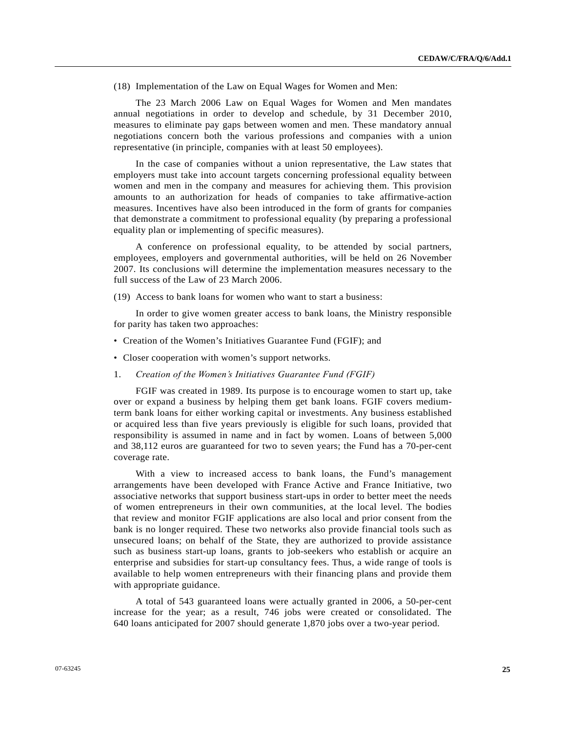(18) Implementation of the Law on Equal Wages for Women and Men:

 The 23 March 2006 Law on Equal Wages for Women and Men mandates annual negotiations in order to develop and schedule, by 31 December 2010, measures to eliminate pay gaps between women and men. These mandatory annual negotiations concern both the various professions and companies with a union representative (in principle, companies with at least 50 employees).

 In the case of companies without a union representative, the Law states that employers must take into account targets concerning professional equality between women and men in the company and measures for achieving them. This provision amounts to an authorization for heads of companies to take affirmative-action measures. Incentives have also been introduced in the form of grants for companies that demonstrate a commitment to professional equality (by preparing a professional equality plan or implementing of specific measures).

 A conference on professional equality, to be attended by social partners, employees, employers and governmental authorities, will be held on 26 November 2007. Its conclusions will determine the implementation measures necessary to the full success of the Law of 23 March 2006.

(19) Access to bank loans for women who want to start a business:

 In order to give women greater access to bank loans, the Ministry responsible for parity has taken two approaches:

- Creation of the Women's Initiatives Guarantee Fund (FGIF); and
- Closer cooperation with women's support networks.
- 1. *Creation of the Women's Initiatives Guarantee Fund (FGIF)*

 FGIF was created in 1989. Its purpose is to encourage women to start up, take over or expand a business by helping them get bank loans. FGIF covers mediumterm bank loans for either working capital or investments. Any business established or acquired less than five years previously is eligible for such loans, provided that responsibility is assumed in name and in fact by women. Loans of between 5,000 and 38,112 euros are guaranteed for two to seven years; the Fund has a 70-per-cent coverage rate.

 With a view to increased access to bank loans, the Fund's management arrangements have been developed with France Active and France Initiative, two associative networks that support business start-ups in order to better meet the needs of women entrepreneurs in their own communities, at the local level. The bodies that review and monitor FGIF applications are also local and prior consent from the bank is no longer required. These two networks also provide financial tools such as unsecured loans; on behalf of the State, they are authorized to provide assistance such as business start-up loans, grants to job-seekers who establish or acquire an enterprise and subsidies for start-up consultancy fees. Thus, a wide range of tools is available to help women entrepreneurs with their financing plans and provide them with appropriate guidance.

 A total of 543 guaranteed loans were actually granted in 2006, a 50-per-cent increase for the year; as a result, 746 jobs were created or consolidated. The 640 loans anticipated for 2007 should generate 1,870 jobs over a two-year period.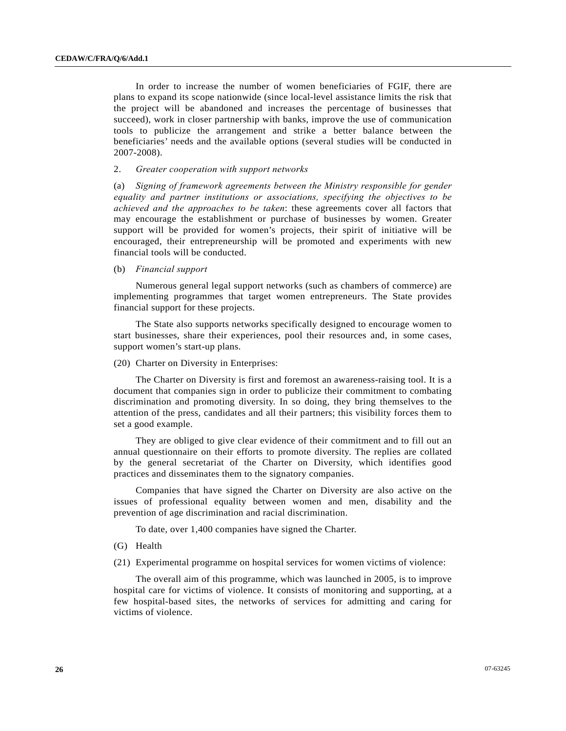In order to increase the number of women beneficiaries of FGIF, there are plans to expand its scope nationwide (since local-level assistance limits the risk that the project will be abandoned and increases the percentage of businesses that succeed), work in closer partnership with banks, improve the use of communication tools to publicize the arrangement and strike a better balance between the beneficiaries' needs and the available options (several studies will be conducted in 2007-2008).

## 2. *Greater cooperation with support networks*

(a) *Signing of framework agreements between the Ministry responsible for gender equality and partner institutions or associations, specifying the objectives to be achieved and the approaches to be taken*: these agreements cover all factors that may encourage the establishment or purchase of businesses by women. Greater support will be provided for women's projects, their spirit of initiative will be encouraged, their entrepreneurship will be promoted and experiments with new financial tools will be conducted.

## (b) *Financial support*

 Numerous general legal support networks (such as chambers of commerce) are implementing programmes that target women entrepreneurs. The State provides financial support for these projects.

 The State also supports networks specifically designed to encourage women to start businesses, share their experiences, pool their resources and, in some cases, support women's start-up plans.

## (20) Charter on Diversity in Enterprises:

 The Charter on Diversity is first and foremost an awareness-raising tool. It is a document that companies sign in order to publicize their commitment to combating discrimination and promoting diversity. In so doing, they bring themselves to the attention of the press, candidates and all their partners; this visibility forces them to set a good example.

 They are obliged to give clear evidence of their commitment and to fill out an annual questionnaire on their efforts to promote diversity. The replies are collated by the general secretariat of the Charter on Diversity, which identifies good practices and disseminates them to the signatory companies.

 Companies that have signed the Charter on Diversity are also active on the issues of professional equality between women and men, disability and the prevention of age discrimination and racial discrimination.

To date, over 1,400 companies have signed the Charter.

- (G) Health
- (21) Experimental programme on hospital services for women victims of violence:

 The overall aim of this programme, which was launched in 2005, is to improve hospital care for victims of violence. It consists of monitoring and supporting, at a few hospital-based sites, the networks of services for admitting and caring for victims of violence.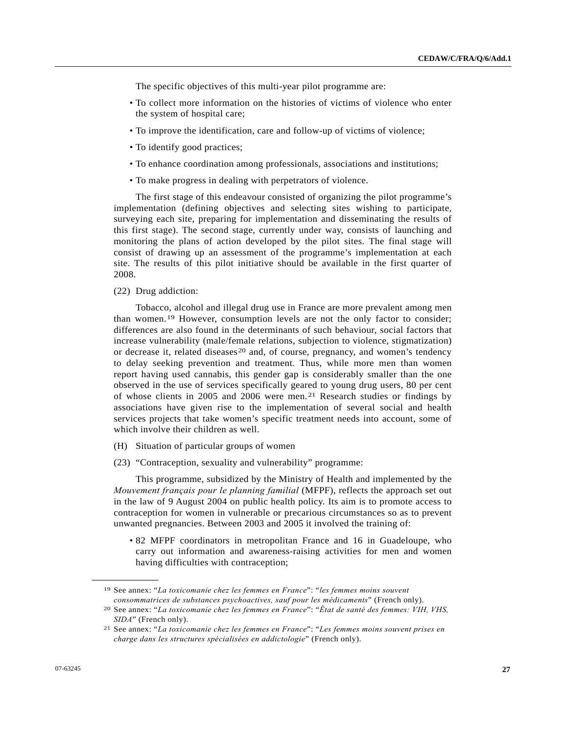The specific objectives of this multi-year pilot programme are:

- To collect more information on the histories of victims of violence who enter the system of hospital care;
- To improve the identification, care and follow-up of victims of violence;
- To identify good practices;
- To enhance coordination among professionals, associations and institutions;
- To make progress in dealing with perpetrators of violence.

 The first stage of this endeavour consisted of organizing the pilot programme's implementation (defining objectives and selecting sites wishing to participate, surveying each site, preparing for implementation and disseminating the results of this first stage). The second stage, currently under way, consists of launching and monitoring the plans of action developed by the pilot sites. The final stage will consist of drawing up an assessment of the programme's implementation at each site. The results of this pilot initiative should be available in the first quarter of 2008.

#### (22) Drug addiction:

 Tobacco, alcohol and illegal drug use in France are more prevalent among men than women.[19](#page-26-0) However, consumption levels are not the only factor to consider; differences are also found in the determinants of such behaviour, social factors that increase vulnerability (male/female relations, subjection to violence, stigmatization) or decrease it, related diseases<sup>[20](#page-26-1)</sup> and, of course, pregnancy, and women's tendency to delay seeking prevention and treatment. Thus, while more men than women report having used cannabis, this gender gap is considerably smaller than the one observed in the use of services specifically geared to young drug users, 80 per cent of whose clients in 2005 and 2006 were men.[2](#page-26-2)1 Research studies or findings by associations have given rise to the implementation of several social and health services projects that take women's specific treatment needs into account, some of which involve their children as well.

- (H) Situation of particular groups of women
- (23) "Contraception, sexuality and vulnerability" programme:

 This programme, subsidized by the Ministry of Health and implemented by the *Mouvement français pour le planning familial* (MFPF), reflects the approach set out in the law of 9 August 2004 on public health policy. Its aim is to promote access to contraception for women in vulnerable or precarious circumstances so as to prevent unwanted pregnancies. Between 2003 and 2005 it involved the training of:

 • 82 MFPF coordinators in metropolitan France and 16 in Guadeloupe, who carry out information and awareness-raising activities for men and women having difficulties with contraception;

<span id="page-26-0"></span><sup>19</sup> See annex: "*La toxicomanie chez les femmes en France*": "*les femmes moins souvent consommatrices de substances psychoactives, sauf pour les médicaments*" (French only). 20 See annex: "*La toxicomanie chez les femmes en France*": "*État de santé des femmes: VIH, VHS,* 

<span id="page-26-1"></span>*SIDA*" (French only). 21 See annex: "*La toxicomanie chez les femmes en France*": "*Les femmes moins souvent prises en* 

<span id="page-26-2"></span>*charge dans les structures spécialisées en addictologie*" (French only).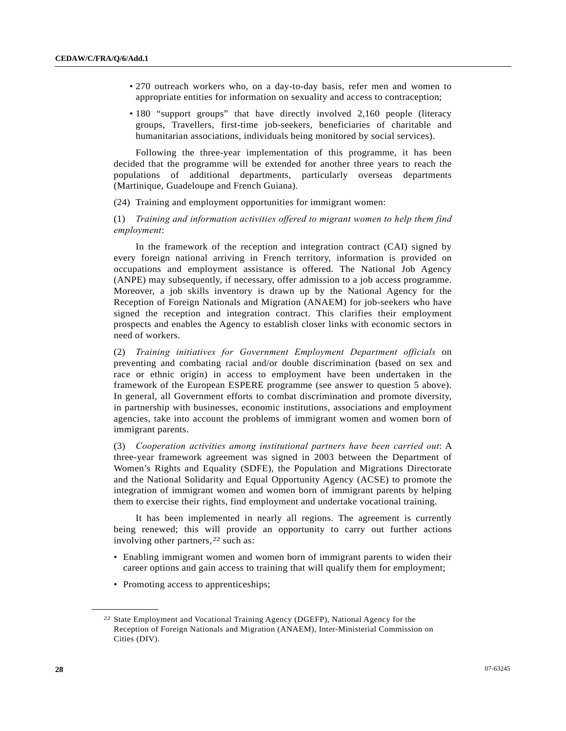- 270 outreach workers who, on a day-to-day basis, refer men and women to appropriate entities for information on sexuality and access to contraception;
- 180 "support groups" that have directly involved 2,160 people (literacy groups, Travellers, first-time job-seekers, beneficiaries of charitable and humanitarian associations, individuals being monitored by social services).

 Following the three-year implementation of this programme, it has been decided that the programme will be extended for another three years to reach the populations of additional departments, particularly overseas departments (Martinique, Guadeloupe and French Guiana).

(24) Training and employment opportunities for immigrant women:

(1) *Training and information activities offered to migrant women to help them find employment*:

 In the framework of the reception and integration contract (CAI) signed by every foreign national arriving in French territory, information is provided on occupations and employment assistance is offered. The National Job Agency (ANPE) may subsequently, if necessary, offer admission to a job access programme. Moreover, a job skills inventory is drawn up by the National Agency for the Reception of Foreign Nationals and Migration (ANAEM) for job-seekers who have signed the reception and integration contract. This clarifies their employment prospects and enables the Agency to establish closer links with economic sectors in need of workers.

(2) *Training initiatives for Government Employment Department officials* on preventing and combating racial and/or double discrimination (based on sex and race or ethnic origin) in access to employment have been undertaken in the framework of the European ESPERE programme (see answer to question 5 above). In general, all Government efforts to combat discrimination and promote diversity, in partnership with businesses, economic institutions, associations and employment agencies, take into account the problems of immigrant women and women born of immigrant parents.

(3) *Cooperation activities among institutional partners have been carried out*: A three-year framework agreement was signed in 2003 between the Department of Women's Rights and Equality (SDFE), the Population and Migrations Directorate and the National Solidarity and Equal Opportunity Agency (ACSE) to promote the integration of immigrant women and women born of immigrant parents by helping them to exercise their rights, find employment and undertake vocational training.

 It has been implemented in nearly all regions. The agreement is currently being renewed; this will provide an opportunity to carry out further actions involving other partners,<sup>[2](#page-27-0)2</sup> such as:

- Enabling immigrant women and women born of immigrant parents to widen their career options and gain access to training that will qualify them for employment;
- Promoting access to apprenticeships;

<span id="page-27-0"></span><sup>22</sup> State Employment and Vocational Training Agency (DGEFP), National Agency for the Reception of Foreign Nationals and Migration (ANAEM), Inter-Ministerial Commission on Cities (DIV).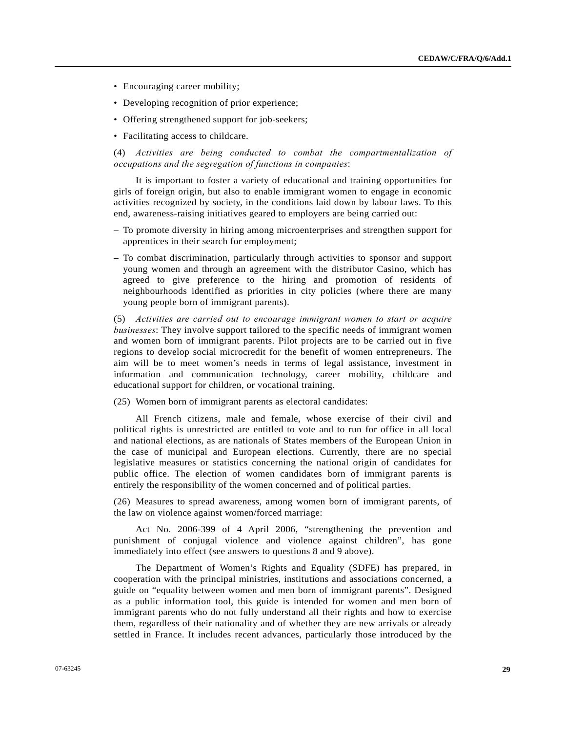- Encouraging career mobility;
- Developing recognition of prior experience;
- Offering strengthened support for job-seekers;
- Facilitating access to childcare.

(4) *Activities are being conducted to combat the compartmentalization of occupations and the segregation of functions in companies*:

 It is important to foster a variety of educational and training opportunities for girls of foreign origin, but also to enable immigrant women to engage in economic activities recognized by society, in the conditions laid down by labour laws. To this end, awareness-raising initiatives geared to employers are being carried out:

- To promote diversity in hiring among microenterprises and strengthen support for apprentices in their search for employment;
- To combat discrimination, particularly through activities to sponsor and support young women and through an agreement with the distributor Casino, which has agreed to give preference to the hiring and promotion of residents of neighbourhoods identified as priorities in city policies (where there are many young people born of immigrant parents).

(5) *Activities are carried out to encourage immigrant women to start or acquire businesses*: They involve support tailored to the specific needs of immigrant women and women born of immigrant parents. Pilot projects are to be carried out in five regions to develop social microcredit for the benefit of women entrepreneurs. The aim will be to meet women's needs in terms of legal assistance, investment in information and communication technology, career mobility, childcare and educational support for children, or vocational training.

(25) Women born of immigrant parents as electoral candidates:

 All French citizens, male and female, whose exercise of their civil and political rights is unrestricted are entitled to vote and to run for office in all local and national elections, as are nationals of States members of the European Union in the case of municipal and European elections. Currently, there are no special legislative measures or statistics concerning the national origin of candidates for public office. The election of women candidates born of immigrant parents is entirely the responsibility of the women concerned and of political parties.

(26) Measures to spread awareness, among women born of immigrant parents, of the law on violence against women/forced marriage:

 Act No. 2006-399 of 4 April 2006, "strengthening the prevention and punishment of conjugal violence and violence against children", has gone immediately into effect (see answers to questions 8 and 9 above).

 The Department of Women's Rights and Equality (SDFE) has prepared, in cooperation with the principal ministries, institutions and associations concerned, a guide on "equality between women and men born of immigrant parents". Designed as a public information tool, this guide is intended for women and men born of immigrant parents who do not fully understand all their rights and how to exercise them, regardless of their nationality and of whether they are new arrivals or already settled in France. It includes recent advances, particularly those introduced by the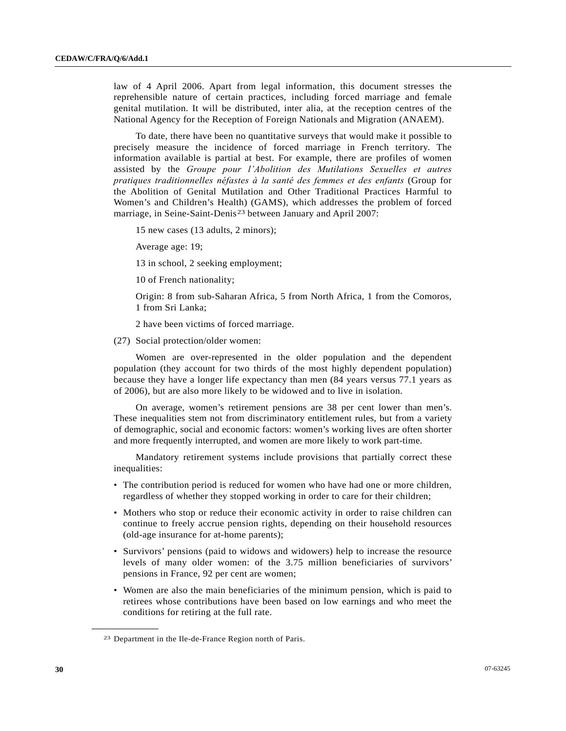law of 4 April 2006. Apart from legal information, this document stresses the reprehensible nature of certain practices, including forced marriage and female genital mutilation. It will be distributed, inter alia, at the reception centres of the National Agency for the Reception of Foreign Nationals and Migration (ANAEM).

 To date, there have been no quantitative surveys that would make it possible to precisely measure the incidence of forced marriage in French territory. The information available is partial at best. For example, there are profiles of women assisted by the *Groupe pour l'Abolition des Mutilations Sexuelles et autres pratiques traditionnelles néfastes à la santé des femmes et des enfants* (Group for the Abolition of Genital Mutilation and Other Traditional Practices Harmful to Women's and Children's Health) (GAMS), which addresses the problem of forced marriage, in Seine-Saint-Denis<sup>[23](#page-29-0)</sup> between January and April 2007:

15 new cases (13 adults, 2 minors);

Average age: 19;

13 in school, 2 seeking employment;

10 of French nationality;

 Origin: 8 from sub-Saharan Africa, 5 from North Africa, 1 from the Comoros, 1 from Sri Lanka;

2 have been victims of forced marriage.

(27) Social protection/older women:

 Women are over-represented in the older population and the dependent population (they account for two thirds of the most highly dependent population) because they have a longer life expectancy than men (84 years versus 77.1 years as of 2006), but are also more likely to be widowed and to live in isolation.

 On average, women's retirement pensions are 38 per cent lower than men's. These inequalities stem not from discriminatory entitlement rules, but from a variety of demographic, social and economic factors: women's working lives are often shorter and more frequently interrupted, and women are more likely to work part-time.

 Mandatory retirement systems include provisions that partially correct these inequalities:

- The contribution period is reduced for women who have had one or more children, regardless of whether they stopped working in order to care for their children;
- Mothers who stop or reduce their economic activity in order to raise children can continue to freely accrue pension rights, depending on their household resources (old-age insurance for at-home parents);
- Survivors' pensions (paid to widows and widowers) help to increase the resource levels of many older women: of the 3.75 million beneficiaries of survivors' pensions in France, 92 per cent are women;
- Women are also the main beneficiaries of the minimum pension, which is paid to retirees whose contributions have been based on low earnings and who meet the conditions for retiring at the full rate.

<span id="page-29-0"></span><sup>23</sup> Department in the Ile-de-France Region north of Paris.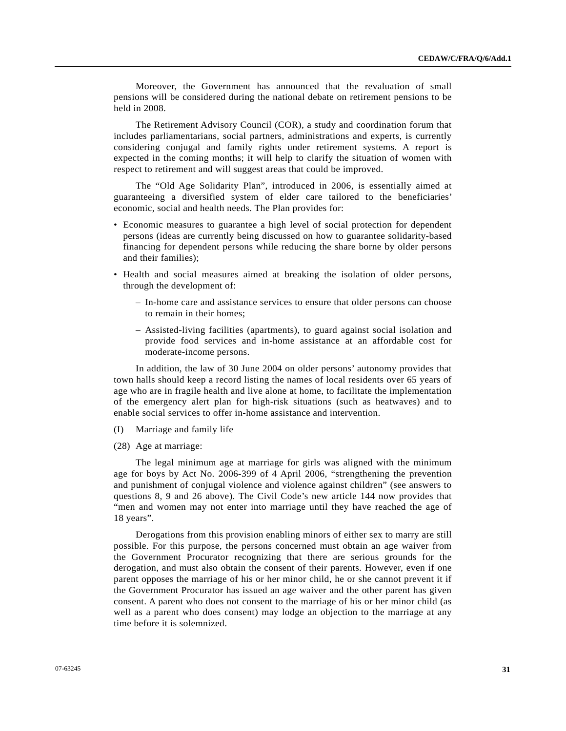Moreover, the Government has announced that the revaluation of small pensions will be considered during the national debate on retirement pensions to be held in 2008.

 The Retirement Advisory Council (COR), a study and coordination forum that includes parliamentarians, social partners, administrations and experts, is currently considering conjugal and family rights under retirement systems. A report is expected in the coming months; it will help to clarify the situation of women with respect to retirement and will suggest areas that could be improved.

 The "Old Age Solidarity Plan", introduced in 2006, is essentially aimed at guaranteeing a diversified system of elder care tailored to the beneficiaries' economic, social and health needs. The Plan provides for:

- Economic measures to guarantee a high level of social protection for dependent persons (ideas are currently being discussed on how to guarantee solidarity-based financing for dependent persons while reducing the share borne by older persons and their families);
- Health and social measures aimed at breaking the isolation of older persons, through the development of:
	- In-home care and assistance services to ensure that older persons can choose to remain in their homes;
	- Assisted-living facilities (apartments), to guard against social isolation and provide food services and in-home assistance at an affordable cost for moderate-income persons.

 In addition, the law of 30 June 2004 on older persons' autonomy provides that town halls should keep a record listing the names of local residents over 65 years of age who are in fragile health and live alone at home, to facilitate the implementation of the emergency alert plan for high-risk situations (such as heatwaves) and to enable social services to offer in-home assistance and intervention.

- (I) Marriage and family life
- (28) Age at marriage:

 The legal minimum age at marriage for girls was aligned with the minimum age for boys by Act No. 2006-399 of 4 April 2006, "strengthening the prevention and punishment of conjugal violence and violence against children" (see answers to questions 8, 9 and 26 above). The Civil Code's new article 144 now provides that "men and women may not enter into marriage until they have reached the age of 18 years".

 Derogations from this provision enabling minors of either sex to marry are still possible. For this purpose, the persons concerned must obtain an age waiver from the Government Procurator recognizing that there are serious grounds for the derogation, and must also obtain the consent of their parents. However, even if one parent opposes the marriage of his or her minor child, he or she cannot prevent it if the Government Procurator has issued an age waiver and the other parent has given consent. A parent who does not consent to the marriage of his or her minor child (as well as a parent who does consent) may lodge an objection to the marriage at any time before it is solemnized.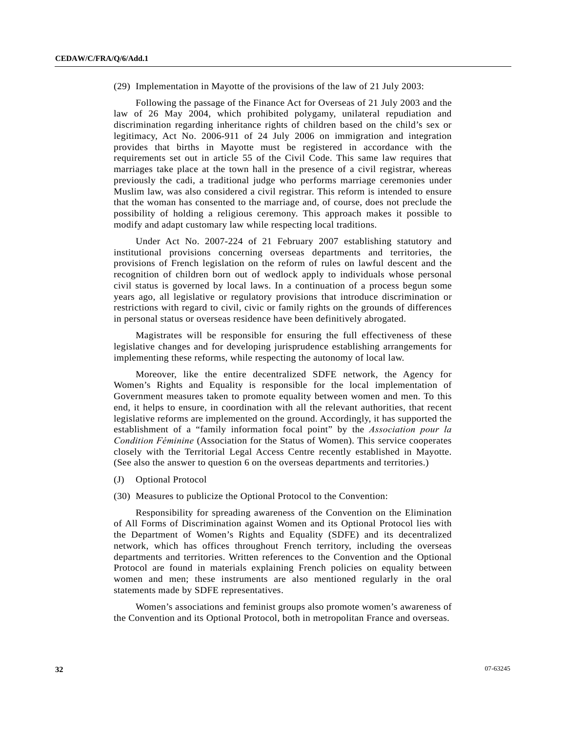(29) Implementation in Mayotte of the provisions of the law of 21 July 2003:

 Following the passage of the Finance Act for Overseas of 21 July 2003 and the law of 26 May 2004, which prohibited polygamy, unilateral repudiation and discrimination regarding inheritance rights of children based on the child's sex or legitimacy, Act No. 2006-911 of 24 July 2006 on immigration and integration provides that births in Mayotte must be registered in accordance with the requirements set out in article 55 of the Civil Code. This same law requires that marriages take place at the town hall in the presence of a civil registrar, whereas previously the cadi, a traditional judge who performs marriage ceremonies under Muslim law, was also considered a civil registrar. This reform is intended to ensure that the woman has consented to the marriage and, of course, does not preclude the possibility of holding a religious ceremony. This approach makes it possible to modify and adapt customary law while respecting local traditions.

 Under Act No. 2007-224 of 21 February 2007 establishing statutory and institutional provisions concerning overseas departments and territories, the provisions of French legislation on the reform of rules on lawful descent and the recognition of children born out of wedlock apply to individuals whose personal civil status is governed by local laws. In a continuation of a process begun some years ago, all legislative or regulatory provisions that introduce discrimination or restrictions with regard to civil, civic or family rights on the grounds of differences in personal status or overseas residence have been definitively abrogated.

 Magistrates will be responsible for ensuring the full effectiveness of these legislative changes and for developing jurisprudence establishing arrangements for implementing these reforms, while respecting the autonomy of local law.

 Moreover, like the entire decentralized SDFE network, the Agency for Women's Rights and Equality is responsible for the local implementation of Government measures taken to promote equality between women and men. To this end, it helps to ensure, in coordination with all the relevant authorities, that recent legislative reforms are implemented on the ground. Accordingly, it has supported the establishment of a "family information focal point" by the *Association pour la Condition Féminine* (Association for the Status of Women). This service cooperates closely with the Territorial Legal Access Centre recently established in Mayotte. (See also the answer to question 6 on the overseas departments and territories.)

(J) Optional Protocol

#### (30) Measures to publicize the Optional Protocol to the Convention:

 Responsibility for spreading awareness of the Convention on the Elimination of All Forms of Discrimination against Women and its Optional Protocol lies with the Department of Women's Rights and Equality (SDFE) and its decentralized network, which has offices throughout French territory, including the overseas departments and territories. Written references to the Convention and the Optional Protocol are found in materials explaining French policies on equality between women and men; these instruments are also mentioned regularly in the oral statements made by SDFE representatives.

 Women's associations and feminist groups also promote women's awareness of the Convention and its Optional Protocol, both in metropolitan France and overseas.